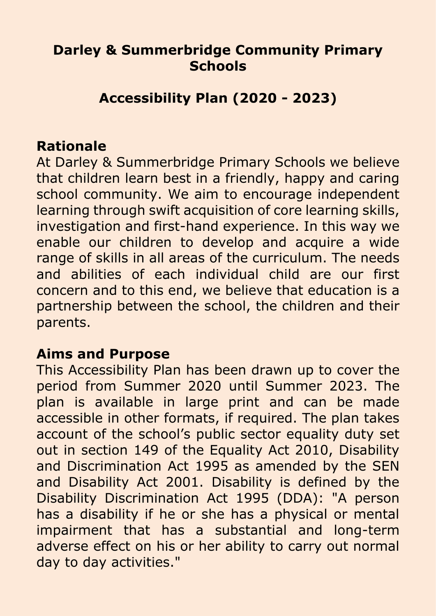## **Darley & Summerbridge Community Primary Schools**

## **Accessibility Plan (2020 - 2023)**

#### **Rationale**

At Darley & Summerbridge Primary Schools we believe that children learn best in a friendly, happy and caring school community. We aim to encourage independent learning through swift acquisition of core learning skills, investigation and first-hand experience. In this way we enable our children to develop and acquire a wide range of skills in all areas of the curriculum. The needs and abilities of each individual child are our first concern and to this end, we believe that education is a partnership between the school, the children and their parents.

#### **Aims and Purpose**

This Accessibility Plan has been drawn up to cover the period from Summer 2020 until Summer 2023. The plan is available in large print and can be made accessible in other formats, if required. The plan takes account of the school's public sector equality duty set out in section 149 of the Equality Act 2010, Disability and Discrimination Act 1995 as amended by the SEN and Disability Act 2001. Disability is defined by the Disability Discrimination Act 1995 (DDA): "A person has a disability if he or she has a physical or mental impairment that has a substantial and long-term adverse effect on his or her ability to carry out normal day to day activities."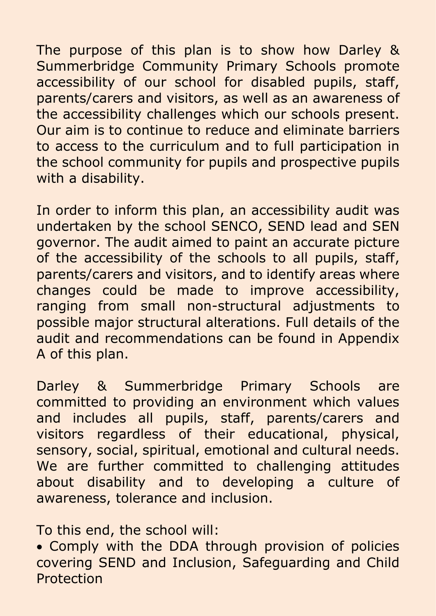The purpose of this plan is to show how Darley & Summerbridge Community Primary Schools promote accessibility of our school for disabled pupils, staff, parents/carers and visitors, as well as an awareness of the accessibility challenges which our schools present. Our aim is to continue to reduce and eliminate barriers to access to the curriculum and to full participation in the school community for pupils and prospective pupils with a disability.

In order to inform this plan, an accessibility audit was undertaken by the school SENCO, SEND lead and SEN governor. The audit aimed to paint an accurate picture of the accessibility of the schools to all pupils, staff, parents/carers and visitors, and to identify areas where changes could be made to improve accessibility, ranging from small non-structural adjustments to possible major structural alterations. Full details of the audit and recommendations can be found in Appendix A of this plan.

Darley & Summerbridge Primary Schools are committed to providing an environment which values and includes all pupils, staff, parents/carers and visitors regardless of their educational, physical, sensory, social, spiritual, emotional and cultural needs. We are further committed to challenging attitudes about disability and to developing a culture of awareness, tolerance and inclusion.

To this end, the school will:

• Comply with the DDA through provision of policies covering SEND and Inclusion, Safeguarding and Child Protection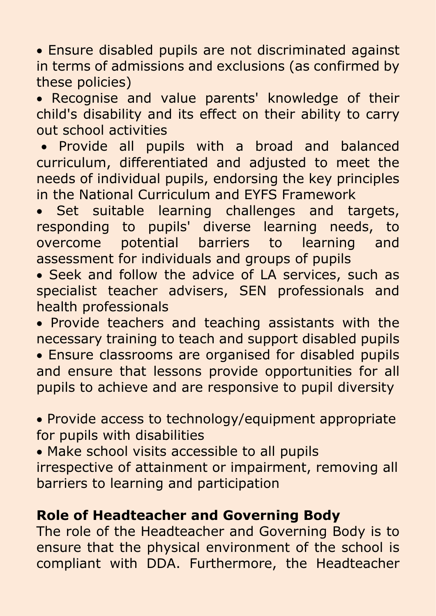• Ensure disabled pupils are not discriminated against in terms of admissions and exclusions (as confirmed by these policies)

• Recognise and value parents' knowledge of their child's disability and its effect on their ability to carry out school activities

• Provide all pupils with a broad and balanced curriculum, differentiated and adjusted to meet the needs of individual pupils, endorsing the key principles in the National Curriculum and EYFS Framework

Set suitable learning challenges and targets, responding to pupils' diverse learning needs, to overcome potential barriers to learning and assessment for individuals and groups of pupils

• Seek and follow the advice of LA services, such as specialist teacher advisers, SEN professionals and health professionals

• Provide teachers and teaching assistants with the necessary training to teach and support disabled pupils

• Ensure classrooms are organised for disabled pupils and ensure that lessons provide opportunities for all pupils to achieve and are responsive to pupil diversity

• Provide access to technology/equipment appropriate for pupils with disabilities

• Make school visits accessible to all pupils irrespective of attainment or impairment, removing all barriers to learning and participation

## **Role of Headteacher and Governing Body**

The role of the Headteacher and Governing Body is to ensure that the physical environment of the school is compliant with DDA. Furthermore, the Headteacher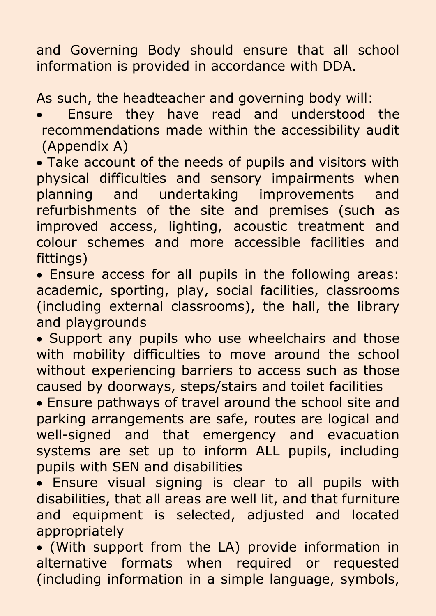and Governing Body should ensure that all school information is provided in accordance with DDA.

As such, the headteacher and governing body will:

- Ensure they have read and understood the recommendations made within the accessibility audit (Appendix A)
- Take account of the needs of pupils and visitors with physical difficulties and sensory impairments when planning and undertaking improvements and refurbishments of the site and premises (such as improved access, lighting, acoustic treatment and colour schemes and more accessible facilities and fittings)
- Ensure access for all pupils in the following areas: academic, sporting, play, social facilities, classrooms (including external classrooms), the hall, the library and playgrounds
- Support any pupils who use wheelchairs and those with mobility difficulties to move around the school without experiencing barriers to access such as those caused by doorways, steps/stairs and toilet facilities
- Ensure pathways of travel around the school site and parking arrangements are safe, routes are logical and well-signed and that emergency and evacuation systems are set up to inform ALL pupils, including pupils with SEN and disabilities
- Ensure visual signing is clear to all pupils with disabilities, that all areas are well lit, and that furniture and equipment is selected, adjusted and located appropriately
- (With support from the LA) provide information in alternative formats when required or requested (including information in a simple language, symbols,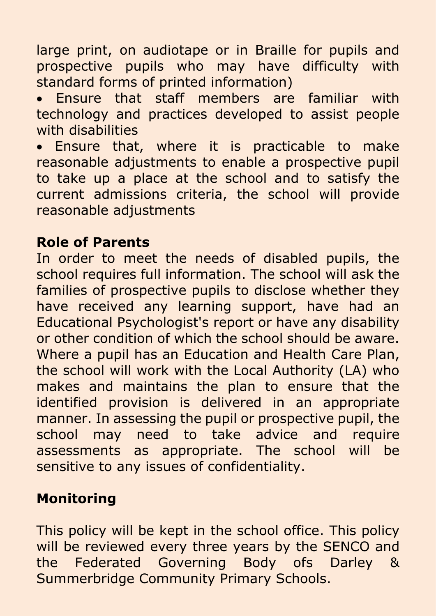large print, on audiotape or in Braille for pupils and prospective pupils who may have difficulty with standard forms of printed information)

• Ensure that staff members are familiar with technology and practices developed to assist people with disabilities

• Ensure that, where it is practicable to make reasonable adjustments to enable a prospective pupil to take up a place at the school and to satisfy the current admissions criteria, the school will provide reasonable adjustments

## **Role of Parents**

In order to meet the needs of disabled pupils, the school requires full information. The school will ask the families of prospective pupils to disclose whether they have received any learning support, have had an Educational Psychologist's report or have any disability or other condition of which the school should be aware. Where a pupil has an Education and Health Care Plan, the school will work with the Local Authority (LA) who makes and maintains the plan to ensure that the identified provision is delivered in an appropriate manner. In assessing the pupil or prospective pupil, the school may need to take advice and require assessments as appropriate. The school will be sensitive to any issues of confidentiality.

# **Monitoring**

This policy will be kept in the school office. This policy will be reviewed every three years by the SENCO and the Federated Governing Body ofs Darley & Summerbridge Community Primary Schools.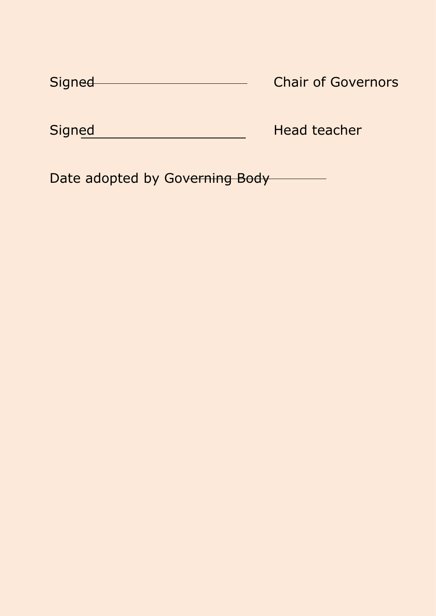| Signed | <b>Chair of Governors</b> |
|--------|---------------------------|
|        |                           |

Signed Head teacher

Date adopted by Governing Body **Contact Exercise**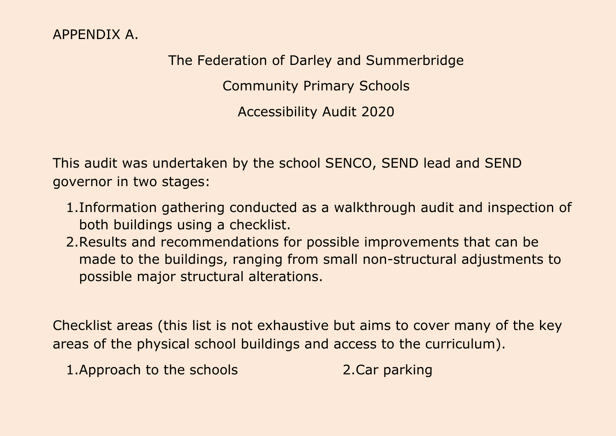### APPENDIX A.

The Federation of Darley and Summerbridge Community Primary Schools Accessibility Audit 2020

This audit was undertaken by the school SENCO, SEND lead and SEND governor in two stages:

- 1.Information gathering conducted as a walkthrough audit and inspection of both buildings using a checklist.
- 2.Results and recommendations for possible improvements that can be made to the buildings, ranging from small non-structural adjustments to possible major structural alterations.

Checklist areas (this list is not exhaustive but aims to cover many of the key areas of the physical school buildings and access to the curriculum).

1.Approach to the schools 2.Car parking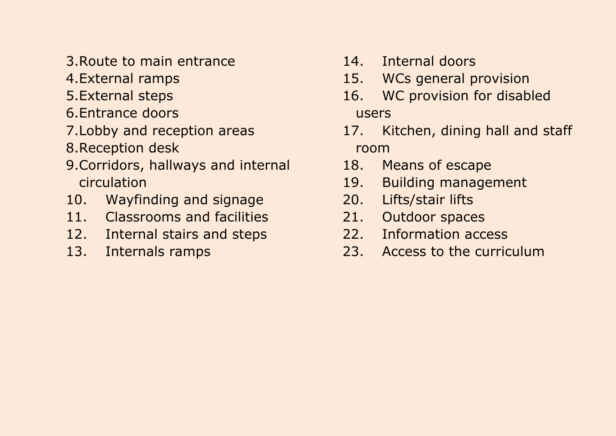- 3.Route to main entrance
- 4.External ramps
- 5.External steps
- 6.Entrance doors
- 7.Lobby and reception areas
- 8.Reception desk
- 9.Corridors, hallways and internal circulation
- 10. Wayfinding and signage
- 11. Classrooms and facilities
- 12. Internal stairs and steps
- 13. Internals ramps
- 14. Internal doors
- 15. WCs general provision
- 16. WC provision for disabled users
- 17. Kitchen, dining hall and staff room
- 18. Means of escape
- 19. Building management
- 20. Lifts/stair lifts
- 21. Outdoor spaces
- 22. Information access
- 23. Access to the curriculum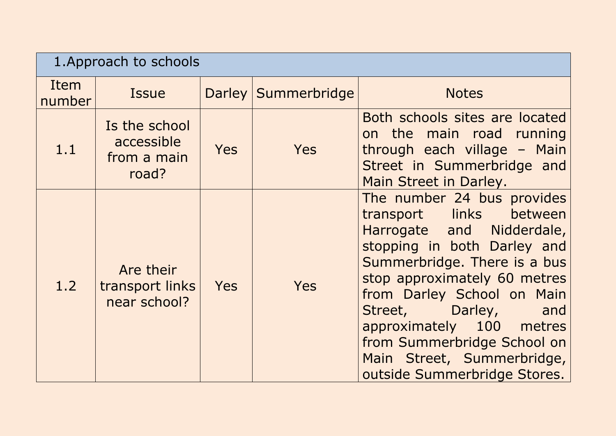|                | 1. Approach to schools                              |            |                     |                                                                                                                                                                                                                                                                                                                                                                          |  |
|----------------|-----------------------------------------------------|------------|---------------------|--------------------------------------------------------------------------------------------------------------------------------------------------------------------------------------------------------------------------------------------------------------------------------------------------------------------------------------------------------------------------|--|
| Item<br>number | <b>Issue</b>                                        |            | Darley Summerbridge | <b>Notes</b>                                                                                                                                                                                                                                                                                                                                                             |  |
| 1.1            | Is the school<br>accessible<br>from a main<br>road? | <b>Yes</b> | Yes                 | Both schools sites are located<br>on the main road running<br>through each village - Main<br>Street in Summerbridge and<br>Main Street in Darley.                                                                                                                                                                                                                        |  |
| 1.2            | Are their<br>transport links<br>near school?        | <b>Yes</b> | Yes                 | The number 24 bus provides<br>links between<br>transport<br>Harrogate and Nidderdale,<br>stopping in both Darley and<br>Summerbridge. There is a bus<br>stop approximately 60 metres<br>from Darley School on Main<br>Darley,<br>Street,<br>and<br>approximately 100 metres<br>from Summerbridge School on<br>Main Street, Summerbridge,<br>outside Summerbridge Stores. |  |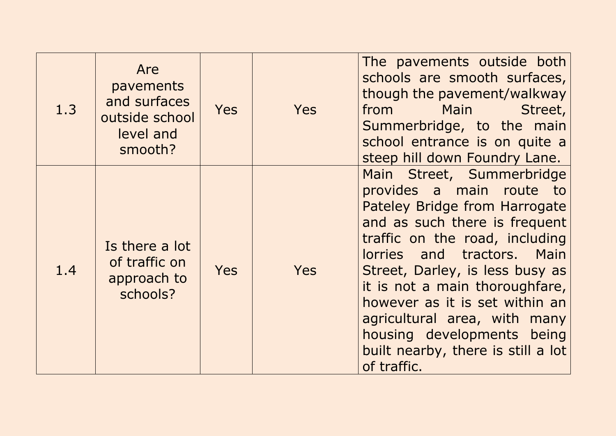| 1.3 | Are<br>pavements<br>and surfaces<br>outside school<br>level and<br>smooth? | <b>Yes</b> | Yes | The pavements outside both<br>schools are smooth surfaces,<br>though the pavement/walkway<br>from Main<br>Street,<br>Summerbridge, to the main<br>school entrance is on quite a<br>steep hill down Foundry Lane.                                                                                                                                                                                                  |
|-----|----------------------------------------------------------------------------|------------|-----|-------------------------------------------------------------------------------------------------------------------------------------------------------------------------------------------------------------------------------------------------------------------------------------------------------------------------------------------------------------------------------------------------------------------|
| 1.4 | Is there a lot<br>of traffic on<br>approach to<br>schools?                 | <b>Yes</b> | Yes | Main Street, Summerbridge<br>provides a main route to<br>Pateley Bridge from Harrogate<br>and as such there is frequent<br>traffic on the road, including<br>lorries and tractors. Main<br>Street, Darley, is less busy as<br>it is not a main thoroughfare,<br>however as it is set within an<br>agricultural area, with many<br>housing developments being<br>built nearby, there is still a lot<br>of traffic. |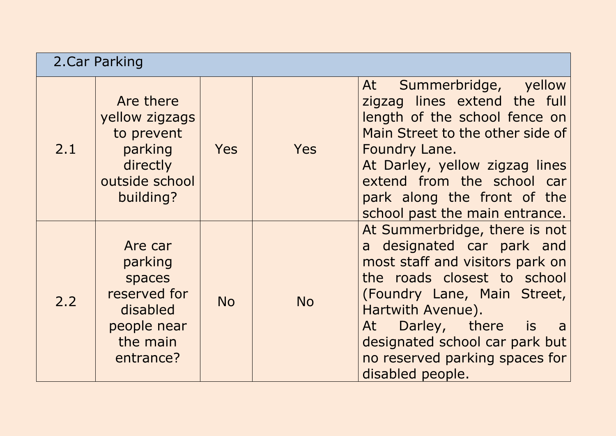| 2. Car Parking |                                                                                                  |            |            |                                                                                                                                                                                                                                                                                                           |
|----------------|--------------------------------------------------------------------------------------------------|------------|------------|-----------------------------------------------------------------------------------------------------------------------------------------------------------------------------------------------------------------------------------------------------------------------------------------------------------|
| 2.1            | Are there<br>yellow zigzags<br>to prevent<br>parking<br>directly<br>outside school<br>building?  | <b>Yes</b> | <b>Yes</b> | Summerbridge, yellow<br>At<br>zigzag lines extend the full<br>length of the school fence on<br>Main Street to the other side of<br>Foundry Lane.<br>At Darley, yellow zigzag lines<br>extend from the school car<br>park along the front of the<br>school past the main entrance.                         |
| 2.2            | Are car<br>parking<br>spaces<br>reserved for<br>disabled<br>people near<br>the main<br>entrance? | <b>No</b>  | <b>No</b>  | At Summerbridge, there is not<br>a designated car park and<br>most staff and visitors park on<br>the roads closest to school<br>(Foundry Lane, Main Street,<br>Hartwith Avenue).<br>Darley, there is<br>At<br>a a<br>designated school car park but<br>no reserved parking spaces for<br>disabled people. |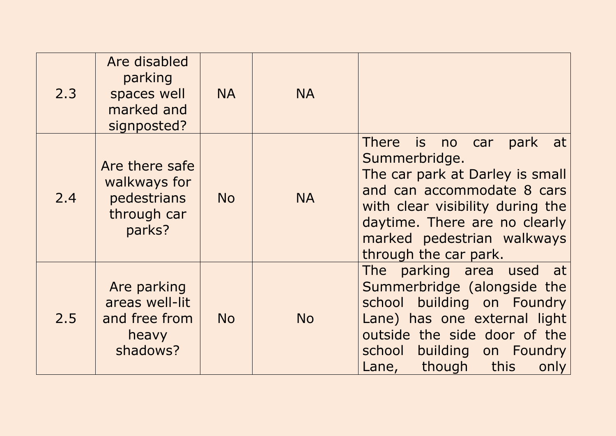| 2.3 | Are disabled<br>parking<br>spaces well<br>marked and<br>signposted?    | <b>NA</b> | <b>NA</b> |                                                                                                                                                                                                                                             |
|-----|------------------------------------------------------------------------|-----------|-----------|---------------------------------------------------------------------------------------------------------------------------------------------------------------------------------------------------------------------------------------------|
| 2.4 | Are there safe<br>walkways for<br>pedestrians<br>through car<br>parks? | <b>No</b> | <b>NA</b> | There is no car<br>park<br>at<br>Summerbridge.<br>The car park at Darley is small<br>and can accommodate 8 cars<br>with clear visibility during the<br>daytime. There are no clearly<br>marked pedestrian walkways<br>through the car park. |
| 2.5 | Are parking<br>areas well-lit<br>and free from<br>heavy<br>shadows?    | <b>No</b> | <b>No</b> | The parking area used at<br>Summerbridge (alongside the<br>building on Foundry<br>school<br>Lane) has one external light<br>outside the side door of the<br>building on Foundry<br>school<br>this<br>though<br>Lane,<br>only                |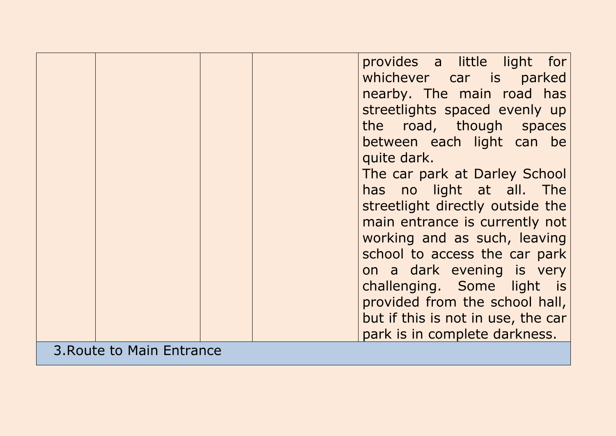|                           |  | provides a little light for<br>whichever car is parked<br>nearby. The main road has<br>streetlights spaced evenly up<br>the road, though spaces<br>between each light can be<br>quite dark.<br>The car park at Darley School<br>has no light at all. The<br>streetlight directly outside the<br>main entrance is currently not<br>working and as such, leaving<br>school to access the car park<br>on a dark evening is very<br>challenging. Some light is<br>provided from the school hall,<br>but if this is not in use, the car<br>park is in complete darkness. |
|---------------------------|--|---------------------------------------------------------------------------------------------------------------------------------------------------------------------------------------------------------------------------------------------------------------------------------------------------------------------------------------------------------------------------------------------------------------------------------------------------------------------------------------------------------------------------------------------------------------------|
| 3. Route to Main Entrance |  |                                                                                                                                                                                                                                                                                                                                                                                                                                                                                                                                                                     |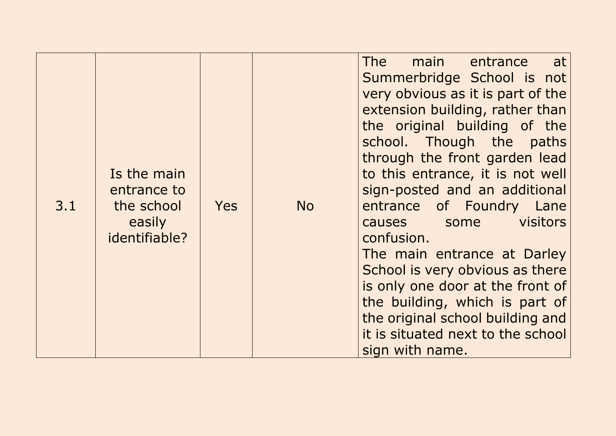| 3.1 | Is the main<br>entrance to<br>the school<br>easily<br>identifiable? | <b>Yes</b> | <b>No</b> | <b>The</b><br>main entrance<br>at<br>Summerbridge School is not<br>very obvious as it is part of the<br>extension building, rather than<br>the original building of the<br>school. Though the paths<br>through the front garden lead<br>to this entrance, it is not well<br>sign-posted and an additional<br>entrance of Foundry Lane<br>visitors<br>causes some<br>confusion.<br>The main entrance at Darley<br>School is very obvious as there<br>is only one door at the front of<br>the building, which is part of<br>the original school building and |
|-----|---------------------------------------------------------------------|------------|-----------|------------------------------------------------------------------------------------------------------------------------------------------------------------------------------------------------------------------------------------------------------------------------------------------------------------------------------------------------------------------------------------------------------------------------------------------------------------------------------------------------------------------------------------------------------------|
|     |                                                                     |            |           | it is situated next to the school<br>sign with name.                                                                                                                                                                                                                                                                                                                                                                                                                                                                                                       |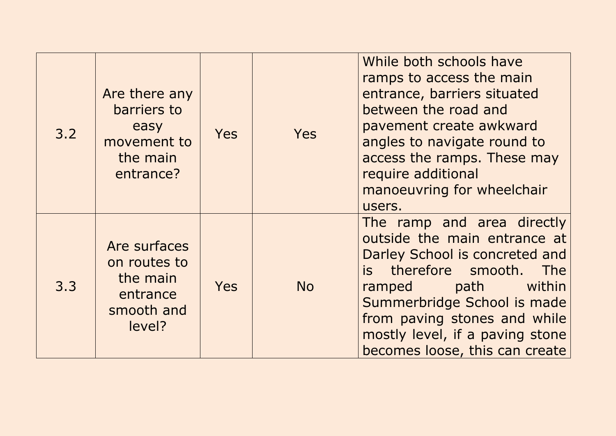| 3.2 | Are there any<br>barriers to<br>easy<br>movement to<br>the main<br>entrance? | <b>Yes</b> | <b>Yes</b> | While both schools have<br>ramps to access the main<br>entrance, barriers situated<br>between the road and<br>pavement create awkward<br>angles to navigate round to<br>access the ramps. These may<br>require additional<br>manoeuvring for wheelchair<br>users.                           |
|-----|------------------------------------------------------------------------------|------------|------------|---------------------------------------------------------------------------------------------------------------------------------------------------------------------------------------------------------------------------------------------------------------------------------------------|
| 3.3 | Are surfaces<br>on routes to<br>the main<br>entrance<br>smooth and<br>level? | <b>Yes</b> | <b>No</b>  | The ramp and area directly<br>outside the main entrance at<br>Darley School is concreted and<br>is therefore smooth.<br>The<br>within<br>path<br>ramped<br>Summerbridge School is made<br>from paving stones and while<br>mostly level, if a paving stone<br>becomes loose, this can create |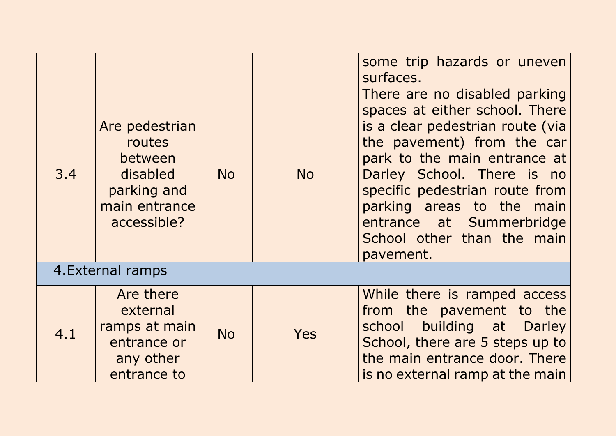|     |                                                                                                |           |           | some trip hazards or uneven<br>surfaces.                                                                                                                                                                                                                                                                                              |  |
|-----|------------------------------------------------------------------------------------------------|-----------|-----------|---------------------------------------------------------------------------------------------------------------------------------------------------------------------------------------------------------------------------------------------------------------------------------------------------------------------------------------|--|
| 3.4 | Are pedestrian<br>routes<br>between<br>disabled<br>parking and<br>main entrance<br>accessible? | <b>No</b> | <b>No</b> | There are no disabled parking<br>spaces at either school. There<br>is a clear pedestrian route (via<br>the pavement) from the car<br>park to the main entrance at<br>Darley School. There is no<br>specific pedestrian route from<br>parking areas to the main<br>entrance at Summerbridge<br>School other than the main<br>pavement. |  |
|     | 4. External ramps                                                                              |           |           |                                                                                                                                                                                                                                                                                                                                       |  |
| 4.1 | Are there<br>external<br>ramps at main<br>entrance or<br>any other<br>entrance to              | <b>No</b> | Yes       | While there is ramped access<br>from the pavement to the<br>building at Darley<br>school<br>School, there are 5 steps up to<br>the main entrance door. There<br>is no external ramp at the main                                                                                                                                       |  |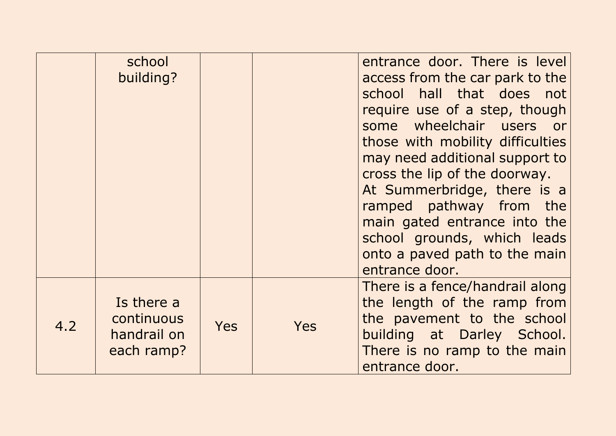|     | school<br>building?                                   |            |     | entrance door. There is level<br>access from the car park to the<br>school hall that does not<br>require use of a step, though<br>some wheelchair users<br>or<br>those with mobility difficulties<br>may need additional support to<br>cross the lip of the doorway.<br>At Summerbridge, there is a<br>ramped pathway from the<br>main gated entrance into the<br>school grounds, which leads<br>onto a paved path to the main<br>entrance door. |
|-----|-------------------------------------------------------|------------|-----|--------------------------------------------------------------------------------------------------------------------------------------------------------------------------------------------------------------------------------------------------------------------------------------------------------------------------------------------------------------------------------------------------------------------------------------------------|
| 4.2 | Is there a<br>continuous<br>handrail on<br>each ramp? | <b>Yes</b> | Yes | There is a fence/handrail along<br>the length of the ramp from<br>the pavement to the school<br>building at Darley School.<br>There is no ramp to the main<br>entrance door.                                                                                                                                                                                                                                                                     |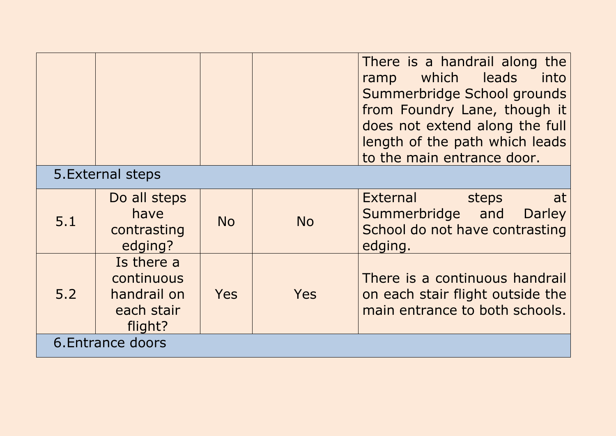|     |                                                                  |            |            | There is a handrail along the<br>which leads<br>into<br>ramp<br>Summerbridge School grounds<br>from Foundry Lane, though it<br>does not extend along the full<br>length of the path which leads<br>to the main entrance door. |
|-----|------------------------------------------------------------------|------------|------------|-------------------------------------------------------------------------------------------------------------------------------------------------------------------------------------------------------------------------------|
|     | 5. External steps                                                |            |            |                                                                                                                                                                                                                               |
| 5.1 | Do all steps<br>have<br>contrasting<br>edging?                   | <b>No</b>  | <b>No</b>  | <b>External</b><br>steps<br>at<br>Summerbridge and<br><b>Darley</b><br>School do not have contrasting<br>edging.                                                                                                              |
| 5.2 | Is there a<br>continuous<br>handrail on<br>each stair<br>flight? | <b>Yes</b> | <b>Yes</b> | There is a continuous handrail<br>on each stair flight outside the<br>main entrance to both schools.                                                                                                                          |
|     | 6. Entrance doors                                                |            |            |                                                                                                                                                                                                                               |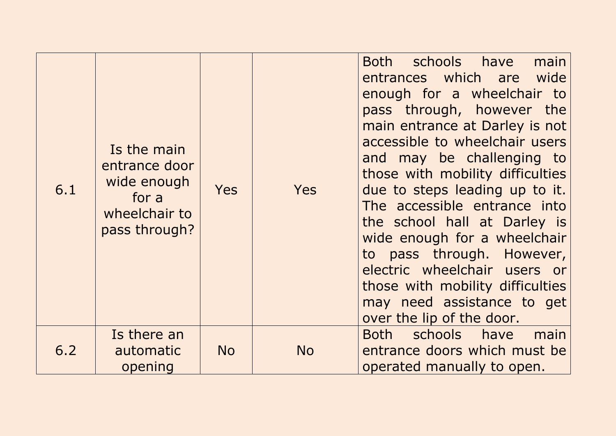| 6.1 | Is the main<br>entrance door<br>wide enough<br>for a<br>wheelchair to<br>pass through? | <b>Yes</b> | Yes       | schools have<br>main<br>Both<br>entrances which are wide<br>enough for a wheelchair to<br>pass through, however the<br>main entrance at Darley is not<br>accessible to wheelchair users<br>and may be challenging to<br>those with mobility difficulties<br>due to steps leading up to it.<br>The accessible entrance into<br>the school hall at Darley is<br>wide enough for a wheelchair<br>to pass through. However,<br>electric wheelchair users or<br>those with mobility difficulties<br>may need assistance to get<br>over the lip of the door. |
|-----|----------------------------------------------------------------------------------------|------------|-----------|--------------------------------------------------------------------------------------------------------------------------------------------------------------------------------------------------------------------------------------------------------------------------------------------------------------------------------------------------------------------------------------------------------------------------------------------------------------------------------------------------------------------------------------------------------|
| 6.2 | Is there an<br>automatic<br>opening                                                    | <b>No</b>  | <b>No</b> | Both schools have<br>main<br>entrance doors which must be<br>operated manually to open.                                                                                                                                                                                                                                                                                                                                                                                                                                                                |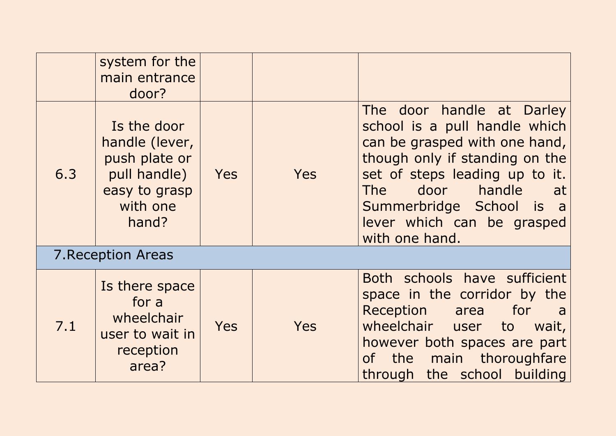|     | system for the<br>main entrance<br>door?                                                             |            |            |                                                                                                                                                                                                                                                                                |
|-----|------------------------------------------------------------------------------------------------------|------------|------------|--------------------------------------------------------------------------------------------------------------------------------------------------------------------------------------------------------------------------------------------------------------------------------|
| 6.3 | Is the door<br>handle (lever,<br>push plate or<br>pull handle)<br>easy to grasp<br>with one<br>hand? | <b>Yes</b> | <b>Yes</b> | The door handle at Darley<br>school is a pull handle which<br>can be grasped with one hand,<br>though only if standing on the<br>set of steps leading up to it.<br>door handle<br><b>The</b><br>at<br>Summerbridge School is a<br>lever which can be grasped<br>with one hand. |
|     | 7. Reception Areas                                                                                   |            |            |                                                                                                                                                                                                                                                                                |
| 7.1 | Is there space<br>for a<br>wheelchair<br>user to wait in<br>reception<br>area?                       | <b>Yes</b> | <b>Yes</b> | Both schools have sufficient<br>space in the corridor by the<br>Reception area<br>for<br>a<br>wheelchair user<br>to<br>wait,<br>however both spaces are part<br>the main thoroughfare<br>of l<br>through the school building                                                   |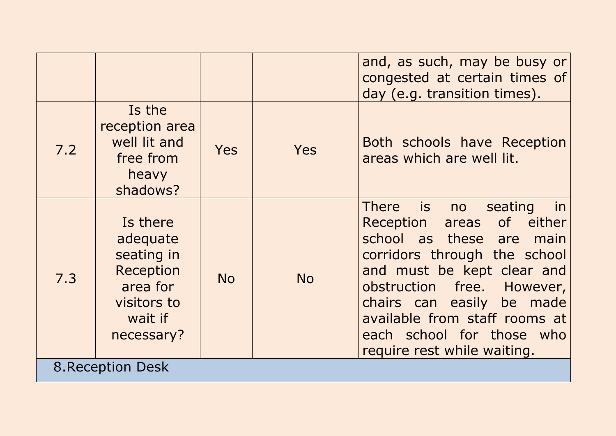|     |                                                                                                     |            |           | and, as such, may be busy or<br>congested at certain times of<br>day (e.g. transition times).                                                                                                                                                                                                                  |
|-----|-----------------------------------------------------------------------------------------------------|------------|-----------|----------------------------------------------------------------------------------------------------------------------------------------------------------------------------------------------------------------------------------------------------------------------------------------------------------------|
| 7.2 | Is the<br>reception area<br>well lit and<br>free from<br>heavy<br>shadows?                          | <b>Yes</b> | Yes       | Both schools have Reception<br>areas which are well lit.                                                                                                                                                                                                                                                       |
| 7.3 | Is there<br>adequate<br>seating in<br>Reception<br>area for<br>visitors to<br>wait if<br>necessary? | <b>No</b>  | <b>No</b> | There is no<br>seating<br>in<br>areas of either<br>Reception<br>school as these are main<br>corridors through the school<br>and must be kept clear and<br>obstruction free. However,<br>chairs can easily be made<br>available from staff rooms at<br>each school for those who<br>require rest while waiting. |
|     | <b>8. Reception Desk</b>                                                                            |            |           |                                                                                                                                                                                                                                                                                                                |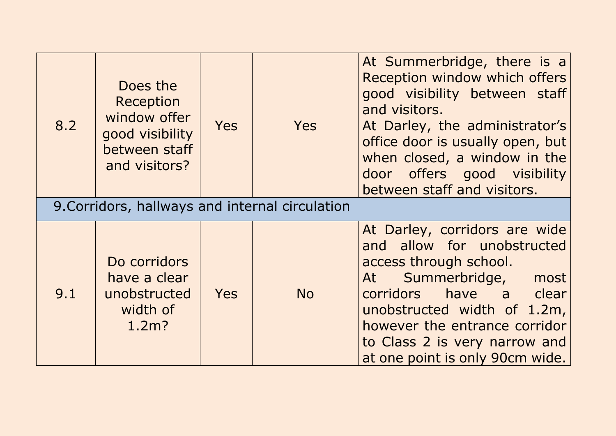| 8.2 | Does the<br>Reception<br>window offer<br>good visibility<br>between staff<br>and visitors? | <b>Yes</b> | Yes       | At Summerbridge, there is a<br>Reception window which offers<br>good visibility between staff<br>and visitors.<br>At Darley, the administrator's<br>office door is usually open, but<br>when closed, a window in the<br>door offers good visibility<br>between staff and visitors. |
|-----|--------------------------------------------------------------------------------------------|------------|-----------|------------------------------------------------------------------------------------------------------------------------------------------------------------------------------------------------------------------------------------------------------------------------------------|
|     | 9. Corridors, hallways and internal circulation                                            |            |           |                                                                                                                                                                                                                                                                                    |
| 9.1 | Do corridors<br>have a clear<br>unobstructed<br>width of<br>$1.2m$ ?                       | <b>Yes</b> | <b>No</b> | At Darley, corridors are wide<br>and allow for unobstructed<br>access through school.<br>At Summerbridge,<br>most<br>corridors have a clear<br>unobstructed width of 1.2m,<br>however the entrance corridor<br>to Class 2 is very narrow and<br>at one point is only 90cm wide.    |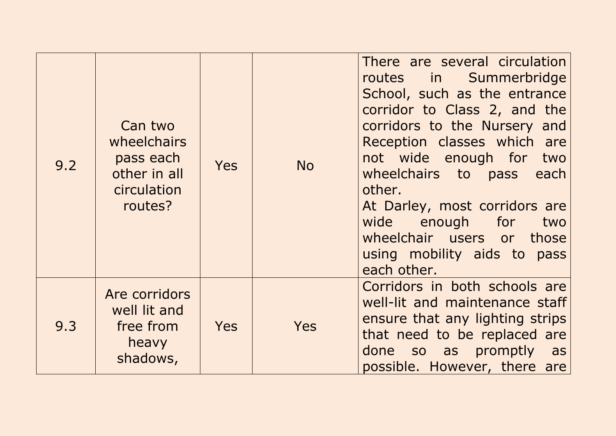| 9.2 | Can two<br>wheelchairs<br>pass each<br>other in all<br>circulation<br>routes? | <b>Yes</b> | <b>No</b>  | There are several circulation<br>routes in Summerbridge<br>School, such as the entrance<br>corridor to Class 2, and the<br>corridors to the Nursery and<br>Reception classes which are<br>not wide enough for two<br>wheelchairs to pass<br>each<br>other.<br>At Darley, most corridors are<br>wide enough for<br>two<br>wheelchair users or those<br>using mobility aids to pass<br>each other. |
|-----|-------------------------------------------------------------------------------|------------|------------|--------------------------------------------------------------------------------------------------------------------------------------------------------------------------------------------------------------------------------------------------------------------------------------------------------------------------------------------------------------------------------------------------|
| 9.3 | Are corridors<br>well lit and<br>free from<br>heavy<br>shadows,               | <b>Yes</b> | <b>Yes</b> | Corridors in both schools are<br>well-lit and maintenance staff<br>ensure that any lighting strips<br>that need to be replaced are<br>done so as promptly as<br>possible. However, there are                                                                                                                                                                                                     |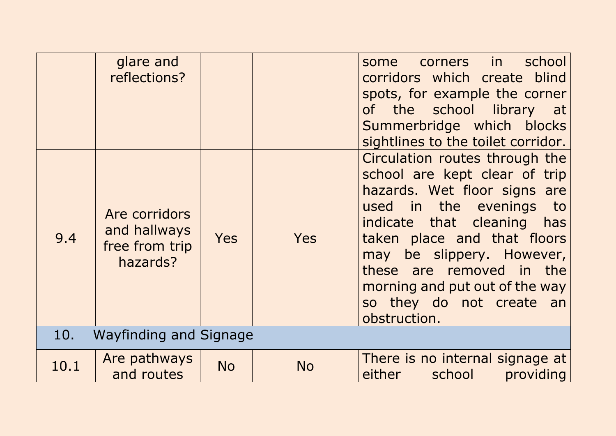|      | glare and<br>reflections?                                   |            |            | school<br>in in<br><b>corners</b><br>some<br>corridors which create blind<br>spots, for example the corner<br>the school library at<br><b>of</b><br>Summerbridge which blocks<br>sightlines to the toilet corridor.                                                                                                                  |
|------|-------------------------------------------------------------|------------|------------|--------------------------------------------------------------------------------------------------------------------------------------------------------------------------------------------------------------------------------------------------------------------------------------------------------------------------------------|
| 9.4  | Are corridors<br>and hallways<br>free from trip<br>hazards? | <b>Yes</b> | <b>Yes</b> | Circulation routes through the<br>school are kept clear of trip<br>hazards. Wet floor signs are<br>in the evenings<br>used<br>to<br>indicate that cleaning has<br>taken place and that floors<br>may be slippery. However,<br>these are removed in the<br>morning and put out of the way<br>so they do not create an<br>obstruction. |
| 10.  | Wayfinding and Signage                                      |            |            |                                                                                                                                                                                                                                                                                                                                      |
| 10.1 | Are pathways<br>and routes                                  | <b>No</b>  | <b>No</b>  | There is no internal signage at<br>either<br>school<br>providing                                                                                                                                                                                                                                                                     |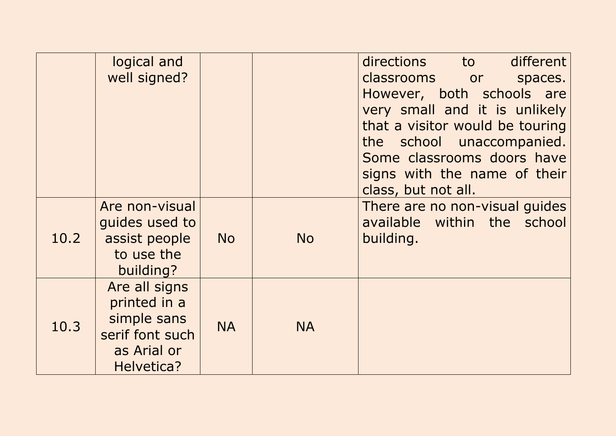|      | logical and<br>well signed?                                                                  |           |           | different<br>directions<br>to<br>classrooms or<br>spaces.<br>However, both schools are<br>very small and it is unlikely<br>that a visitor would be touring<br>the school unaccompanied.<br>Some classrooms doors have<br>signs with the name of their<br>class, but not all. |
|------|----------------------------------------------------------------------------------------------|-----------|-----------|------------------------------------------------------------------------------------------------------------------------------------------------------------------------------------------------------------------------------------------------------------------------------|
| 10.2 | Are non-visual<br>guides used to<br>assist people<br>to use the<br>building?                 | <b>No</b> | <b>No</b> | There are no non-visual guides<br>available within the school<br>building.                                                                                                                                                                                                   |
| 10.3 | Are all signs<br>printed in a<br>simple sans<br>serif font such<br>as Arial or<br>Helvetica? | <b>NA</b> | <b>NA</b> |                                                                                                                                                                                                                                                                              |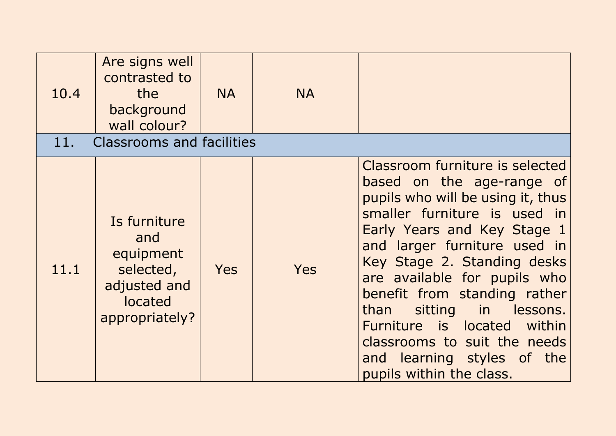| 10.4<br>11. | Are signs well<br>contrasted to<br>the<br>background<br>wall colour?<br><b>Classrooms and facilities</b> | <b>NA</b>  | <b>NA</b> |                                                                                                                                                                                                                                                                                                                                                                                                                                                         |
|-------------|----------------------------------------------------------------------------------------------------------|------------|-----------|---------------------------------------------------------------------------------------------------------------------------------------------------------------------------------------------------------------------------------------------------------------------------------------------------------------------------------------------------------------------------------------------------------------------------------------------------------|
| 11.1        | Is furniture<br>and<br>equipment<br>selected,<br>adjusted and<br>located<br>appropriately?               | <b>Yes</b> | Yes       | Classroom furniture is selected<br>based on the age-range of<br>pupils who will be using it, thus<br>smaller furniture is used in<br>Early Years and Key Stage 1<br>and larger furniture used in<br>Key Stage 2. Standing desks<br>are available for pupils who<br>benefit from standing rather<br>sitting in lessons.<br>than<br>Furniture is located within<br>classrooms to suit the needs<br>and learning styles of the<br>pupils within the class. |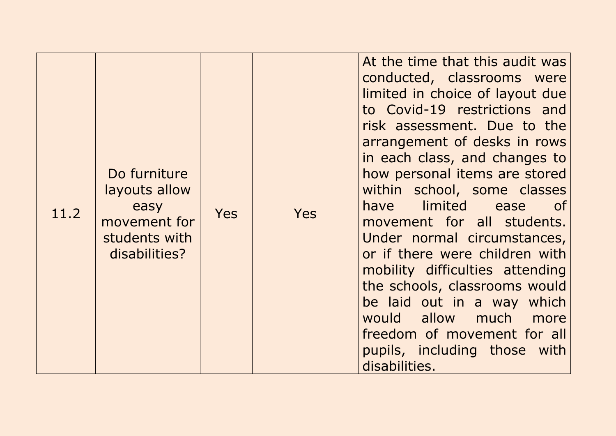| 11.2 | Do furniture<br>layouts allow<br>easy<br>movement for<br>students with<br>disabilities? | <b>Yes</b> | <b>Yes</b> | At the time that this audit was<br>conducted, classrooms were<br>limited in choice of layout due<br>to Covid-19 restrictions and<br>risk assessment. Due to the<br>arrangement of desks in rows<br>in each class, and changes to<br>how personal items are stored<br>within school, some classes<br><b>dimited</b><br>have<br>ease<br>of<br>movement for all students.<br>Under normal circumstances,<br>or if there were children with<br>mobility difficulties attending<br>the schools, classrooms would<br>be laid out in a way which<br>would allow much more<br>freedom of movement for all<br>pupils, including those with<br>disabilities. |
|------|-----------------------------------------------------------------------------------------|------------|------------|----------------------------------------------------------------------------------------------------------------------------------------------------------------------------------------------------------------------------------------------------------------------------------------------------------------------------------------------------------------------------------------------------------------------------------------------------------------------------------------------------------------------------------------------------------------------------------------------------------------------------------------------------|
|------|-----------------------------------------------------------------------------------------|------------|------------|----------------------------------------------------------------------------------------------------------------------------------------------------------------------------------------------------------------------------------------------------------------------------------------------------------------------------------------------------------------------------------------------------------------------------------------------------------------------------------------------------------------------------------------------------------------------------------------------------------------------------------------------------|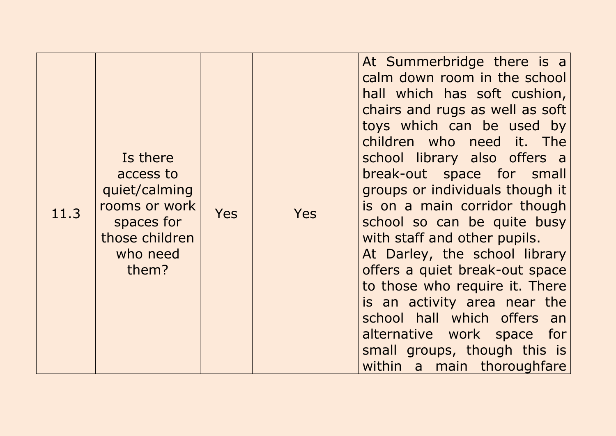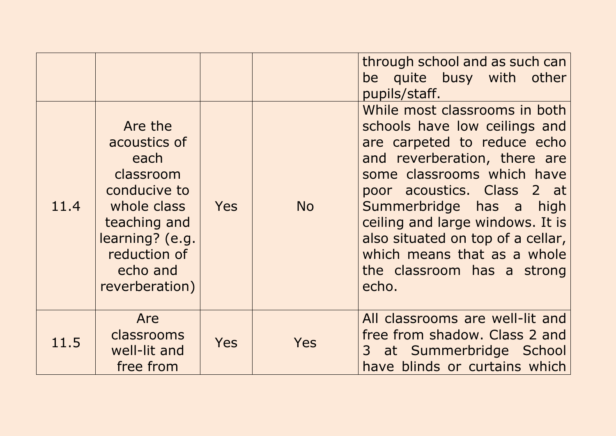|      |                                                                                                                                                              |            |           | through school and as such can<br>be quite busy with other<br>pupils/staff.                                                                                                                                                                                                                                                                                         |
|------|--------------------------------------------------------------------------------------------------------------------------------------------------------------|------------|-----------|---------------------------------------------------------------------------------------------------------------------------------------------------------------------------------------------------------------------------------------------------------------------------------------------------------------------------------------------------------------------|
| 11.4 | Are the<br>acoustics of<br>each<br>classroom<br>conducive to<br>whole class<br>teaching and<br>learning? (e.g.<br>reduction of<br>echo and<br>reverberation) | <b>Yes</b> | <b>No</b> | While most classrooms in both<br>schools have low ceilings and<br>are carpeted to reduce echo<br>and reverberation, there are<br>some classrooms which have<br>poor acoustics. Class 2 at<br>Summerbridge has a high<br>ceiling and large windows. It is<br>also situated on top of a cellar,<br>which means that as a whole<br>the classroom has a strong<br>echo. |
| 11.5 | Are<br>classrooms<br>well-lit and<br>free from                                                                                                               | <b>Yes</b> | Yes       | All classrooms are well-lit and<br>free from shadow. Class 2 and<br>3 at Summerbridge School<br>have blinds or curtains which                                                                                                                                                                                                                                       |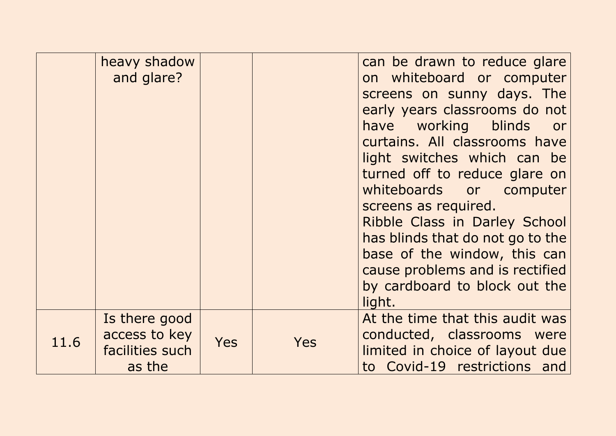|      | heavy shadow<br>and glare?                                  |            |            | can be drawn to reduce glare<br>on whiteboard or computer<br>screens on sunny days. The<br>early years classrooms do not<br>have working blinds<br>or<br>curtains. All classrooms have<br>light switches which can be<br>turned off to reduce glare on<br>whiteboards or computer<br>screens as required.<br>Ribble Class in Darley School<br>has blinds that do not go to the<br>base of the window, this can<br>cause problems and is rectified<br>by cardboard to block out the<br>light. |
|------|-------------------------------------------------------------|------------|------------|----------------------------------------------------------------------------------------------------------------------------------------------------------------------------------------------------------------------------------------------------------------------------------------------------------------------------------------------------------------------------------------------------------------------------------------------------------------------------------------------|
| 11.6 | Is there good<br>access to key<br>facilities such<br>as the | <b>Yes</b> | <b>Yes</b> | At the time that this audit was<br>conducted, classrooms were<br>limited in choice of layout due<br>to Covid-19 restrictions and                                                                                                                                                                                                                                                                                                                                                             |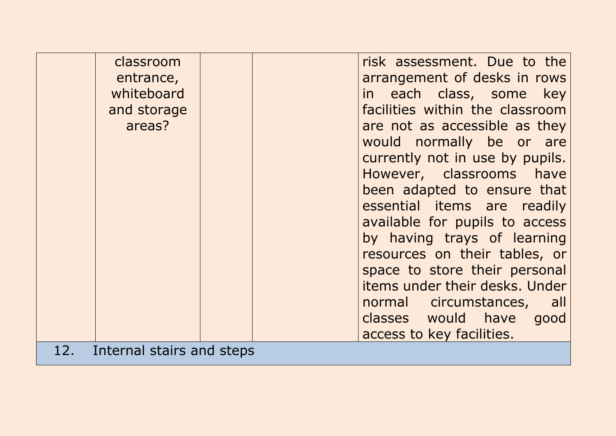|     | classroom<br>entrance,<br>whiteboard<br>and storage<br>areas? | risk assessment. Due to the<br>arrangement of desks in rows<br>in each class, some key<br>facilities within the classroom<br>are not as accessible as they<br>would normally be or are<br>currently not in use by pupils.<br>However, classrooms have<br>been adapted to ensure that<br>essential items are readily<br>available for pupils to access<br>by having trays of learning<br>resources on their tables, or<br>space to store their personal<br>items under their desks. Under<br>normal circumstances, all<br>classes would have good<br>access to key facilities. |
|-----|---------------------------------------------------------------|-------------------------------------------------------------------------------------------------------------------------------------------------------------------------------------------------------------------------------------------------------------------------------------------------------------------------------------------------------------------------------------------------------------------------------------------------------------------------------------------------------------------------------------------------------------------------------|
| 12. | Internal stairs and steps                                     |                                                                                                                                                                                                                                                                                                                                                                                                                                                                                                                                                                               |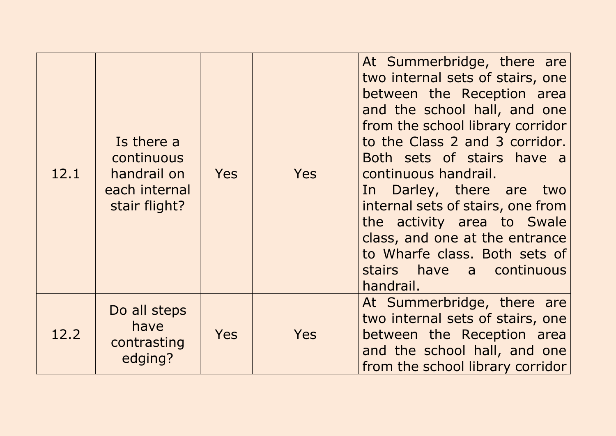| 12.1 | Is there a<br>continuous<br>handrail on<br>each internal<br>stair flight? | <b>Yes</b> | <b>Yes</b> | At Summerbridge, there are<br>two internal sets of stairs, one<br>between the Reception area<br>and the school hall, and one<br>from the school library corridor<br>to the Class 2 and 3 corridor.<br>Both sets of stairs have a<br>continuous handrail.<br>In Darley, there are two<br>internal sets of stairs, one from<br>the activity area to Swale<br>class, and one at the entrance<br>to Wharfe class. Both sets of<br>stairs have a continuous<br>handrail. |
|------|---------------------------------------------------------------------------|------------|------------|---------------------------------------------------------------------------------------------------------------------------------------------------------------------------------------------------------------------------------------------------------------------------------------------------------------------------------------------------------------------------------------------------------------------------------------------------------------------|
| 12.2 | Do all steps<br>have<br>contrasting<br>edging?                            | <b>Yes</b> | Yes        | At Summerbridge, there are<br>two internal sets of stairs, one<br>between the Reception area<br>and the school hall, and one<br>from the school library corridor                                                                                                                                                                                                                                                                                                    |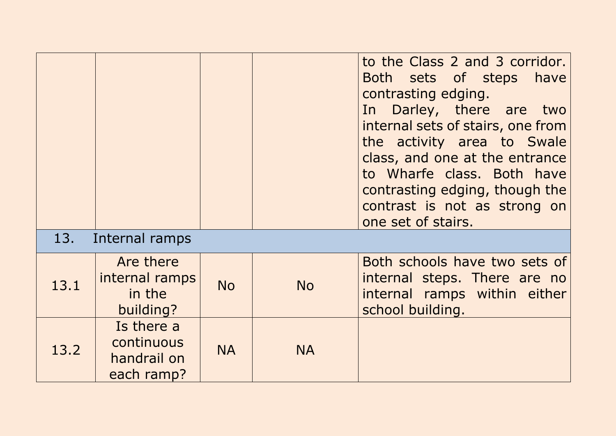|      |                                                       |           |           | to the Class 2 and 3 corridor.<br>Both sets of steps have<br>contrasting edging.<br>In Darley, there are two<br>internal sets of stairs, one from<br>the activity area to Swale<br>class, and one at the entrance<br>to Wharfe class. Both have<br>contrasting edging, though the<br>contrast is not as strong on<br>one set of stairs. |
|------|-------------------------------------------------------|-----------|-----------|-----------------------------------------------------------------------------------------------------------------------------------------------------------------------------------------------------------------------------------------------------------------------------------------------------------------------------------------|
| 13.  | Internal ramps                                        |           |           |                                                                                                                                                                                                                                                                                                                                         |
| 13.1 | Are there<br>internal ramps<br>in the<br>building?    | <b>No</b> | <b>No</b> | Both schools have two sets of<br>internal steps. There are no<br>internal ramps within either<br>school building.                                                                                                                                                                                                                       |
| 13.2 | Is there a<br>continuous<br>handrail on<br>each ramp? | <b>NA</b> | <b>NA</b> |                                                                                                                                                                                                                                                                                                                                         |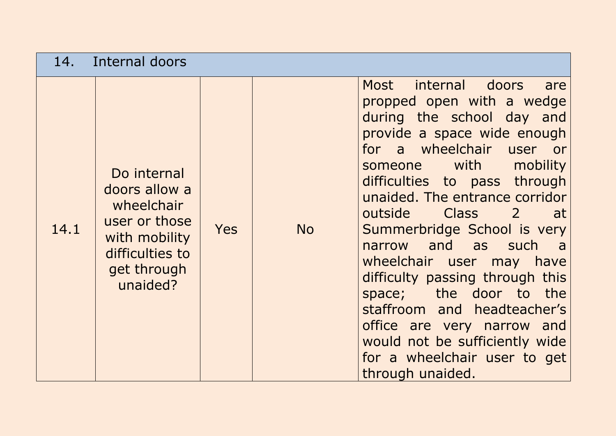| 14.  | Internal doors                                                                                                             |            |           |                                                                                                                                                                                                                                                                                                                                                                                                                                                                                                                                                                                                               |
|------|----------------------------------------------------------------------------------------------------------------------------|------------|-----------|---------------------------------------------------------------------------------------------------------------------------------------------------------------------------------------------------------------------------------------------------------------------------------------------------------------------------------------------------------------------------------------------------------------------------------------------------------------------------------------------------------------------------------------------------------------------------------------------------------------|
| 14.1 | Do internal<br>doors allow a<br>wheelchair<br>user or those<br>with mobility<br>difficulties to<br>get through<br>unaided? | <b>Yes</b> | <b>No</b> | Most internal doors<br>are<br>propped open with a wedge<br>during the school day and<br>provide a space wide enough<br>for a wheelchair user or<br>mobility<br>someone with<br>difficulties to pass through<br>unaided. The entrance corridor<br>outside Class<br>$\overline{2}$<br>-at<br>Summerbridge School is very<br>narrow and as such<br>$\overline{a}$<br>wheelchair user may have<br>difficulty passing through this<br>the door to the<br>space;<br>staffroom and headteacher's<br>office are very narrow and<br>would not be sufficiently wide<br>for a wheelchair user to get<br>through unaided. |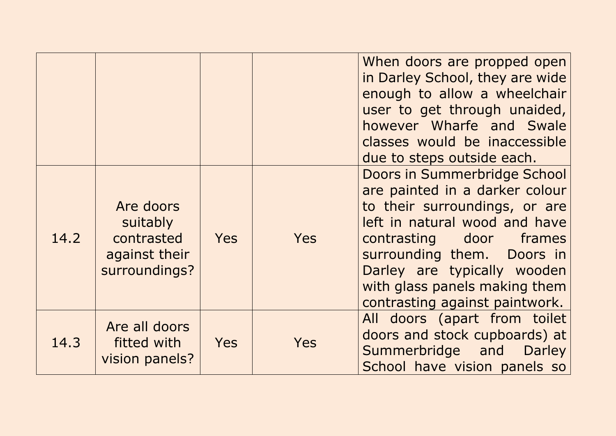|      |                                                                       |            |     | When doors are propped open<br>in Darley School, they are wide<br>enough to allow a wheelchair<br>user to get through unaided,<br>however Wharfe and Swale<br>classes would be inaccessible<br>due to steps outside each.                                                                   |
|------|-----------------------------------------------------------------------|------------|-----|---------------------------------------------------------------------------------------------------------------------------------------------------------------------------------------------------------------------------------------------------------------------------------------------|
| 14.2 | Are doors<br>suitably<br>contrasted<br>against their<br>surroundings? | <b>Yes</b> | Yes | Doors in Summerbridge School<br>are painted in a darker colour<br>to their surroundings, or are<br>left in natural wood and have<br>contrasting door frames<br>surrounding them. Doors in<br>Darley are typically wooden<br>with glass panels making them<br>contrasting against paintwork. |
| 14.3 | Are all doors<br>fitted with<br>vision panels?                        | <b>Yes</b> | Yes | All doors (apart from toilet<br>doors and stock cupboards) at<br>Summerbridge and<br><b>Darley</b><br>School have vision panels so                                                                                                                                                          |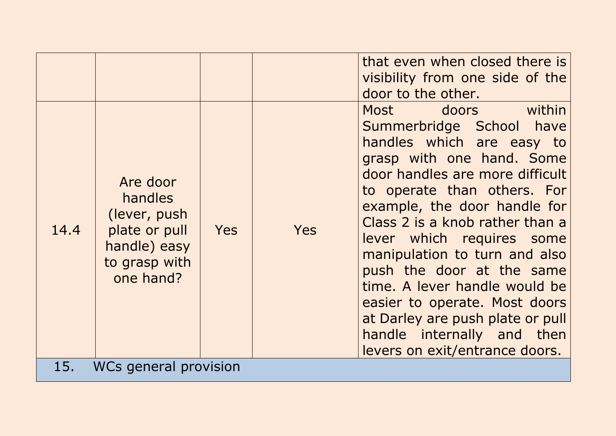|      |                                                                                                            |            |     | that even when closed there is<br>visibility from one side of the<br>door to the other.                                                                                                                                                                                                                                                                                                                                                                                                                       |  |  |
|------|------------------------------------------------------------------------------------------------------------|------------|-----|---------------------------------------------------------------------------------------------------------------------------------------------------------------------------------------------------------------------------------------------------------------------------------------------------------------------------------------------------------------------------------------------------------------------------------------------------------------------------------------------------------------|--|--|
| 14.4 | Are door<br><b>handles</b><br>(lever, push)<br>plate or pull<br>handle) easy<br>to grasp with<br>one hand? | <b>Yes</b> | Yes | Most doors within<br>Summerbridge School have<br>handles which are easy to<br>grasp with one hand. Some<br>door handles are more difficult<br>to operate than others. For<br>example, the door handle for<br>Class 2 is a knob rather than a<br>lever which requires some<br>manipulation to turn and also<br>push the door at the same<br>time. A lever handle would be<br>easier to operate. Most doors<br>at Darley are push plate or pull<br>handle internally and then<br>levers on exit/entrance doors. |  |  |
| 15.  | WCs general provision                                                                                      |            |     |                                                                                                                                                                                                                                                                                                                                                                                                                                                                                                               |  |  |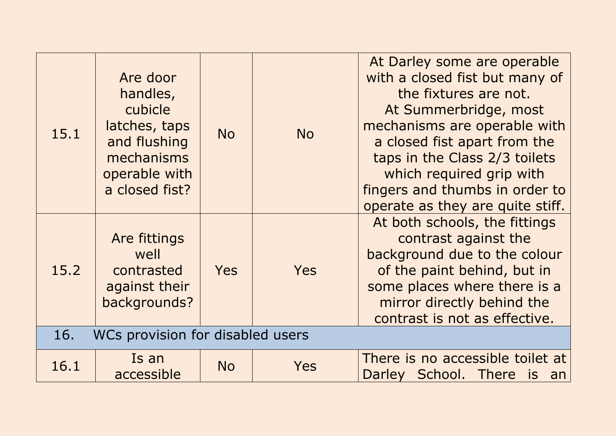| 15.1                                    | Are door<br>handles,<br>cubicle<br>latches, taps<br>and flushing<br>mechanisms<br>operable with<br>a closed fist? | <b>No</b>  | <b>No</b>  | At Darley some are operable<br>with a closed fist but many of<br>the fixtures are not.<br>At Summerbridge, most<br>mechanisms are operable with<br>a closed fist apart from the<br>taps in the Class 2/3 toilets<br>which required grip with<br>fingers and thumbs in order to<br>operate as they are quite stiff. |
|-----------------------------------------|-------------------------------------------------------------------------------------------------------------------|------------|------------|--------------------------------------------------------------------------------------------------------------------------------------------------------------------------------------------------------------------------------------------------------------------------------------------------------------------|
| 15.2                                    | Are fittings<br>well<br>contrasted<br>against their<br>backgrounds?                                               | <b>Yes</b> | <b>Yes</b> | At both schools, the fittings<br>contrast against the<br>background due to the colour<br>of the paint behind, but in<br>some places where there is a<br>mirror directly behind the<br>contrast is not as effective.                                                                                                |
| WCs provision for disabled users<br>16. |                                                                                                                   |            |            |                                                                                                                                                                                                                                                                                                                    |
| 16.1                                    | Is an<br>accessible                                                                                               | <b>No</b>  | Yes        | There is no accessible toilet at<br>Darley School. There<br><i>is</i><br>an                                                                                                                                                                                                                                        |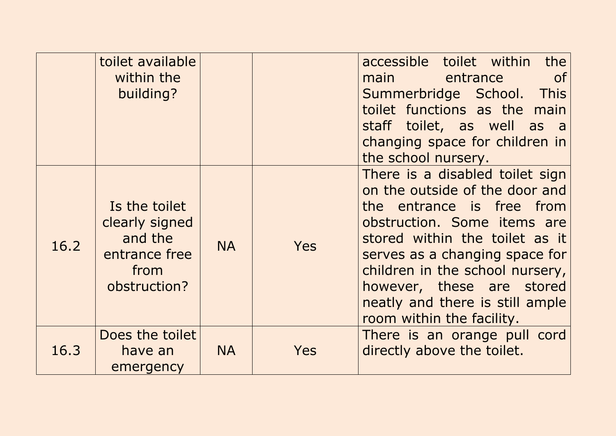|      | toilet available<br>within the<br>building?                                         |           |            | accessible toilet within<br>the<br>entrance<br>of<br>main the main<br>Summerbridge School. This<br>toilet functions as the main<br>staff toilet, as well as a<br>changing space for children in<br>the school nursery.                                                                                                            |
|------|-------------------------------------------------------------------------------------|-----------|------------|-----------------------------------------------------------------------------------------------------------------------------------------------------------------------------------------------------------------------------------------------------------------------------------------------------------------------------------|
| 16.2 | Is the toilet<br>clearly signed<br>and the<br>entrance free<br>from<br>obstruction? | <b>NA</b> | <b>Yes</b> | There is a disabled toilet sign<br>on the outside of the door and<br>the entrance is free from<br>obstruction. Some items are<br>stored within the toilet as it<br>serves as a changing space for<br>children in the school nursery,<br>however, these are stored<br>neatly and there is still ample<br>room within the facility. |
| 16.3 | Does the toilet<br>have an<br>emergency                                             | <b>NA</b> | Yes        | There is an orange pull cord<br>directly above the toilet.                                                                                                                                                                                                                                                                        |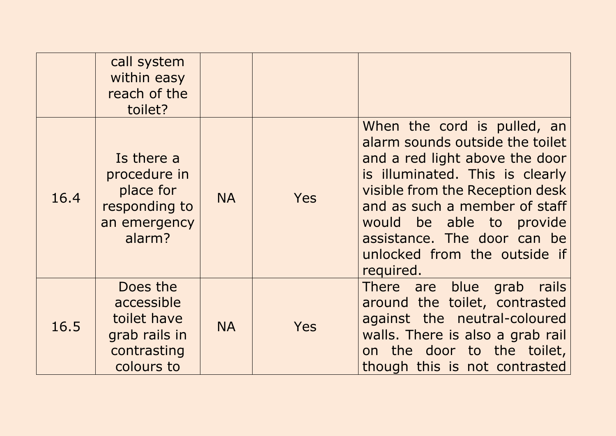|      | call system<br>within easy<br>reach of the<br>toilet?                               |           |            |                                                                                                                                                                                                                                                                                                                 |
|------|-------------------------------------------------------------------------------------|-----------|------------|-----------------------------------------------------------------------------------------------------------------------------------------------------------------------------------------------------------------------------------------------------------------------------------------------------------------|
| 16.4 | Is there a<br>procedure in<br>place for<br>responding to<br>an emergency<br>alarm?  | <b>NA</b> | <b>Yes</b> | When the cord is pulled, an<br>alarm sounds outside the toilet<br>and a red light above the door<br>is illuminated. This is clearly<br>visible from the Reception desk<br>and as such a member of staff<br>would be able to provide<br>assistance. The door can be<br>unlocked from the outside if<br>required. |
| 16.5 | Does the<br>accessible<br>toilet have<br>grab rails in<br>contrasting<br>colours to | <b>NA</b> | <b>Yes</b> | There are blue<br>rails<br>grab<br>around the toilet, contrasted<br>against the neutral-coloured<br>walls. There is also a grab rail<br>on the door to the toilet,<br>though this is not contrasted                                                                                                             |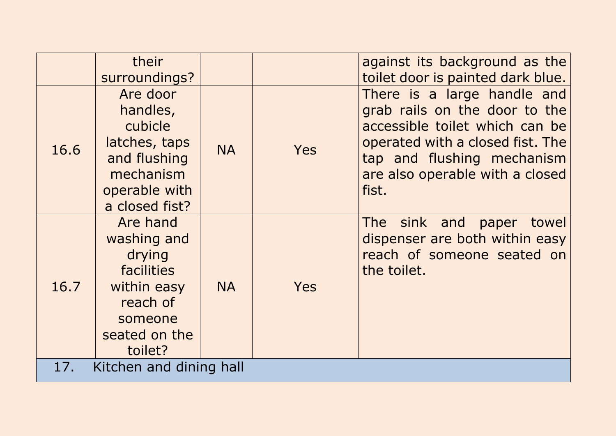|                                | their<br>surroundings?                                                                                                   |           |            | against its background as the<br>toilet door is painted dark blue.                                                                                                                                           |
|--------------------------------|--------------------------------------------------------------------------------------------------------------------------|-----------|------------|--------------------------------------------------------------------------------------------------------------------------------------------------------------------------------------------------------------|
| 16.6                           | Are door<br>handles,<br>cubicle<br>latches, taps<br>and flushing<br>mechanism<br>operable with<br>a closed fist?         | <b>NA</b> | <b>Yes</b> | There is a large handle and<br>grab rails on the door to the<br>accessible toilet which can be<br>operated with a closed fist. The<br>tap and flushing mechanism<br>are also operable with a closed<br>fist. |
| 16.7                           | Are hand<br>washing and<br>drying<br><b>facilities</b><br>within easy<br>reach of<br>someone<br>seated on the<br>toilet? | <b>NA</b> | <b>Yes</b> | The sink and paper<br>towel<br>dispenser are both within easy<br>reach of someone seated on<br>the toilet.                                                                                                   |
| Kitchen and dining hall<br>17. |                                                                                                                          |           |            |                                                                                                                                                                                                              |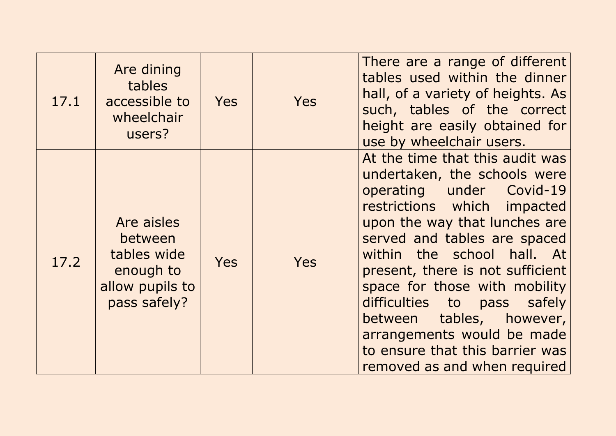| 17.1 | Are dining<br>tables<br>accessible to<br>wheelchair<br>users?                        | <b>Yes</b> | Yes | There are a range of different<br>tables used within the dinner<br>hall, of a variety of heights. As<br>such, tables of the correct<br>height are easily obtained for<br>use by wheelchair users.                                                                                                                                                                                                                                                             |
|------|--------------------------------------------------------------------------------------|------------|-----|---------------------------------------------------------------------------------------------------------------------------------------------------------------------------------------------------------------------------------------------------------------------------------------------------------------------------------------------------------------------------------------------------------------------------------------------------------------|
| 17.2 | Are aisles<br>between<br>tables wide<br>enough to<br>allow pupils to<br>pass safely? | <b>Yes</b> | Yes | At the time that this audit was<br>undertaken, the schools were<br>operating under Covid-19<br>restrictions which impacted<br>upon the way that lunches are<br>served and tables are spaced<br>within the school hall. At<br>present, there is not sufficient<br>space for those with mobility<br>difficulties to<br>pass safely<br>between tables, however,<br>arrangements would be made<br>to ensure that this barrier was<br>removed as and when required |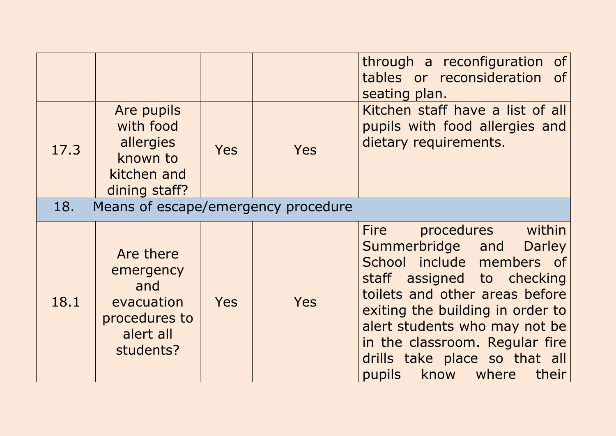|      |                                                                                        |            |            | through a reconfiguration of<br>tables or reconsideration of<br>seating plan.                                                                                                                                                                                                                                                               |
|------|----------------------------------------------------------------------------------------|------------|------------|---------------------------------------------------------------------------------------------------------------------------------------------------------------------------------------------------------------------------------------------------------------------------------------------------------------------------------------------|
| 17.3 | Are pupils<br>with food<br>allergies<br>known to<br>kitchen and<br>dining staff?       | <b>Yes</b> | <b>Yes</b> | Kitchen staff have a list of all<br>pupils with food allergies and<br>dietary requirements.                                                                                                                                                                                                                                                 |
| 18.  | Means of escape/emergency procedure                                                    |            |            |                                                                                                                                                                                                                                                                                                                                             |
| 18.1 | Are there<br>emergency<br>and<br>evacuation<br>procedures to<br>alert all<br>students? | <b>Yes</b> | Yes        | procedures within<br><b>Fire</b><br>Summerbridge and<br><b>Darley</b><br>School include members of<br>staff assigned to checking<br>toilets and other areas before<br>exiting the building in order to<br>alert students who may not be<br>in the classroom. Regular fire<br>drills take place so that all<br>know where<br>pupils<br>their |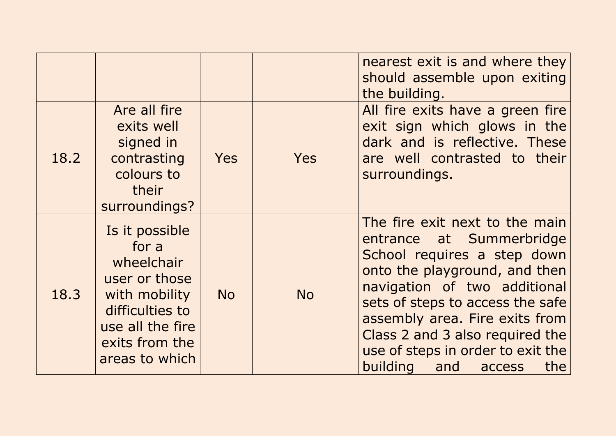|      |                                                                                                                                                    |            |            | nearest exit is and where they<br>should assemble upon exiting<br>the building.                                                                                                                                                                                                                                                           |
|------|----------------------------------------------------------------------------------------------------------------------------------------------------|------------|------------|-------------------------------------------------------------------------------------------------------------------------------------------------------------------------------------------------------------------------------------------------------------------------------------------------------------------------------------------|
| 18.2 | Are all fire<br>exits well<br>signed in<br>contrasting<br>colours to<br>their<br>surroundings?                                                     | <b>Yes</b> | <b>Yes</b> | All fire exits have a green fire<br>exit sign which glows in the<br>dark and is reflective. These<br>are well contrasted to their<br>surroundings.                                                                                                                                                                                        |
| 18.3 | Is it possible<br>for a<br>wheelchair<br>user or those<br>with mobility<br>difficulties to<br>use all the fire<br>exits from the<br>areas to which | <b>No</b>  | <b>No</b>  | The fire exit next to the main<br>entrance at Summerbridge<br>School requires a step down<br>onto the playground, and then<br>navigation of two additional<br>sets of steps to access the safe<br>assembly area. Fire exits from<br>Class 2 and 3 also required the<br>use of steps in order to exit the<br>building<br>and access<br>the |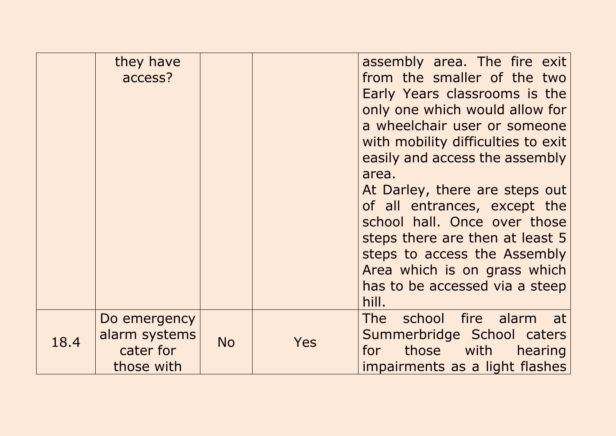|      | they have<br>access?                                     |           |     | assembly area. The fire exit<br>from the smaller of the two<br>Early Years classrooms is the<br>only one which would allow for<br>a wheelchair user or someone<br>with mobility difficulties to exit<br>easily and access the assembly<br>area.<br>At Darley, there are steps out<br>of all entrances, except the<br>school hall. Once over those<br>steps there are then at least 5<br>steps to access the Assembly<br>Area which is on grass which<br>has to be accessed via a steep<br>hill. |
|------|----------------------------------------------------------|-----------|-----|-------------------------------------------------------------------------------------------------------------------------------------------------------------------------------------------------------------------------------------------------------------------------------------------------------------------------------------------------------------------------------------------------------------------------------------------------------------------------------------------------|
| 18.4 | Do emergency<br>alarm systems<br>cater for<br>those with | <b>No</b> | Yes | school fire alarm<br>The<br>at<br>Summerbridge School caters<br>those with<br>hearing<br>for<br>impairments as a light flashes                                                                                                                                                                                                                                                                                                                                                                  |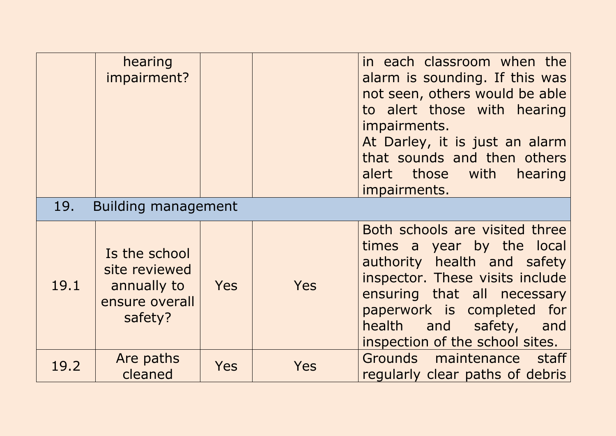|      | hearing<br>impairment?                                                     |            |            | in each classroom when the<br>alarm is sounding. If this was<br>not seen, others would be able<br>to alert those with hearing<br>impairments.<br>At Darley, it is just an alarm<br>that sounds and then others<br>alert those with<br>hearing<br>impairments. |
|------|----------------------------------------------------------------------------|------------|------------|---------------------------------------------------------------------------------------------------------------------------------------------------------------------------------------------------------------------------------------------------------------|
| 19.  | Building management                                                        |            |            |                                                                                                                                                                                                                                                               |
| 19.1 | Is the school<br>site reviewed<br>annually to<br>ensure overall<br>safety? | <b>Yes</b> | <b>Yes</b> | Both schools are visited three<br>times a year by the local<br>authority health and safety<br>inspector. These visits include<br>ensuring that all necessary<br>paperwork is completed for<br>health and safety,<br>and<br>inspection of the school sites.    |
| 19.2 | Are paths<br>cleaned                                                       | <b>Yes</b> | Yes        | Grounds maintenance staff<br>regularly clear paths of debris                                                                                                                                                                                                  |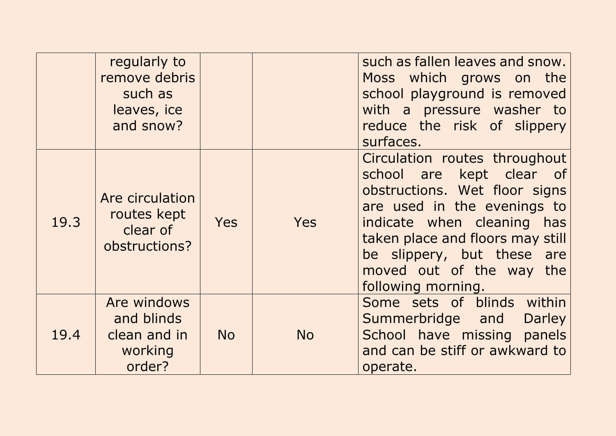|      | regularly to<br>remove debris<br>such as<br>leaves, ice<br>and snow? |            |           | such as fallen leaves and snow.<br>Moss which grows on the<br>school playground is removed<br>with a pressure washer to<br>reduce the risk of slippery<br>surfaces.                                                                                                         |
|------|----------------------------------------------------------------------|------------|-----------|-----------------------------------------------------------------------------------------------------------------------------------------------------------------------------------------------------------------------------------------------------------------------------|
| 19.3 | Are circulation<br>routes kept<br>clear of<br>obstructions?          | <b>Yes</b> | Yes       | Circulation routes throughout<br>school are kept clear of<br>obstructions. Wet floor signs<br>are used in the evenings to<br>indicate when cleaning has<br>taken place and floors may still<br>be slippery, but these are<br>moved out of the way the<br>following morning. |
| 19.4 | Are windows<br>and blinds<br>clean and in<br>working<br>order?       | <b>No</b>  | <b>No</b> | Some sets of blinds within<br>Summerbridge and<br><b>Darley</b><br>School have missing panels<br>and can be stiff or awkward to<br>operate.                                                                                                                                 |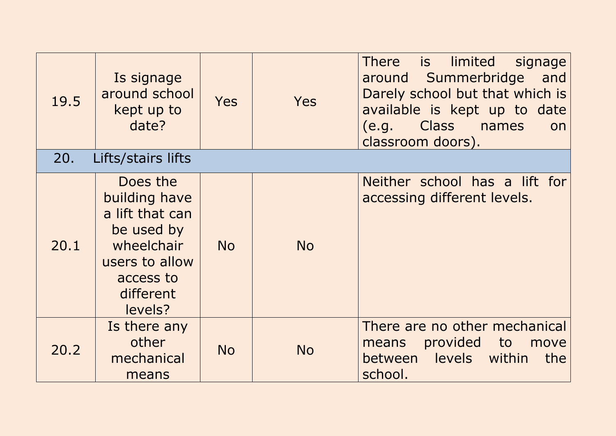| 19.5<br>20. | Is signage<br>around school<br>kept up to<br>date?<br>Lifts/stairs lifts                                                        | <b>Yes</b> | <b>Yes</b> | There is<br>limited<br>signage<br>around Summerbridge<br>and<br>Darely school but that which is<br>available is kept up to date<br>Class names<br>(e.g.<br>on<br>classroom doors). |
|-------------|---------------------------------------------------------------------------------------------------------------------------------|------------|------------|------------------------------------------------------------------------------------------------------------------------------------------------------------------------------------|
|             |                                                                                                                                 |            |            |                                                                                                                                                                                    |
| 20.1        | Does the<br>building have<br>a lift that can<br>be used by<br>wheelchair<br>users to allow<br>access to<br>different<br>levels? | <b>No</b>  | <b>No</b>  | Neither school has a lift for<br>accessing different levels.                                                                                                                       |
| 20.2        | Is there any<br>other<br>mechanical<br>means                                                                                    | <b>No</b>  | <b>No</b>  | There are no other mechanical<br>provided to<br>move<br>means<br>between levels within<br>the<br>school.                                                                           |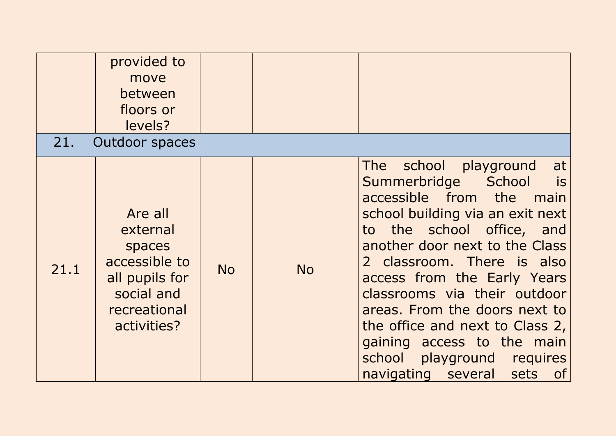| 21.  | provided to<br>move<br>between<br>floors or<br>levels?<br><b>Outdoor spaces</b>                               |           |           |                                                                                                                                                                                                                                                                                                                                                                                                                                                                |
|------|---------------------------------------------------------------------------------------------------------------|-----------|-----------|----------------------------------------------------------------------------------------------------------------------------------------------------------------------------------------------------------------------------------------------------------------------------------------------------------------------------------------------------------------------------------------------------------------------------------------------------------------|
| 21.1 | Are all<br>external<br>spaces<br>accessible to<br>all pupils for<br>social and<br>recreational<br>activities? | <b>No</b> | <b>No</b> | school<br>playground<br>The<br>at<br>Summerbridge<br>School<br>is<br>accessible from the main<br>school building via an exit next<br>to the school office, and<br>another door next to the Class<br>2 classroom. There is also<br>access from the Early Years<br>classrooms via their outdoor<br>areas. From the doors next to<br>the office and next to Class 2,<br>gaining access to the main<br>school<br>playground requires<br>navigating several sets of |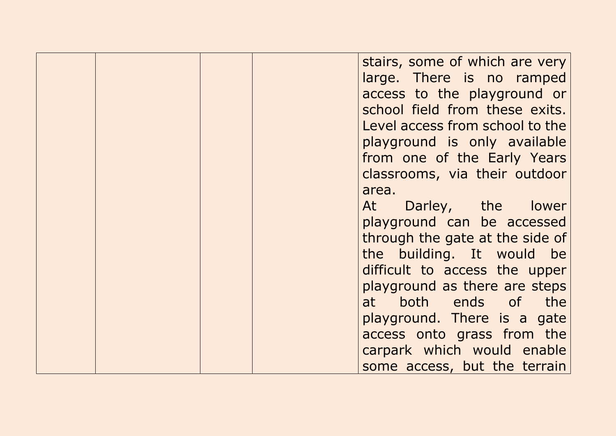stairs, some of which are very large. There is no ramped access to the playground or school field from these exits. Level access from school to the playground is only available from one of the Early Years classrooms, via their outdoor area. At Darley, the lower playground can be accessed through the gate at the side of the building. It would be difficult to access the upper playground as there are steps at both ends of the playground. There is a gate access onto grass from the carpark which would enable some access, but the terrain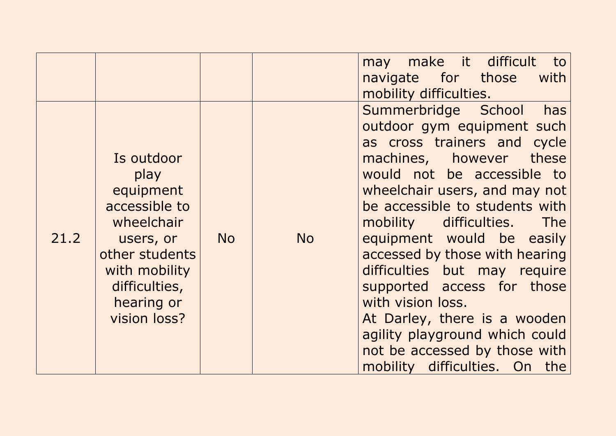|      |                                                                                                                                                               |           |           | make it difficult<br>to<br>may<br>navigate for those<br>with<br>mobility difficulties.                                                                                                                                                                                                                                                                                                                                                                                                                                                               |
|------|---------------------------------------------------------------------------------------------------------------------------------------------------------------|-----------|-----------|------------------------------------------------------------------------------------------------------------------------------------------------------------------------------------------------------------------------------------------------------------------------------------------------------------------------------------------------------------------------------------------------------------------------------------------------------------------------------------------------------------------------------------------------------|
| 21.2 | Is outdoor<br>play<br>equipment<br>accessible to<br>wheelchair<br>users, or<br>other students<br>with mobility<br>difficulties,<br>hearing or<br>vision loss? | <b>No</b> | <b>No</b> | has<br>Summerbridge School<br>outdoor gym equipment such<br>as cross trainers and cycle<br>machines, however<br>these<br>would not be accessible to<br>wheelchair users, and may not<br>be accessible to students with<br>mobility difficulties.<br><b>The</b><br>equipment would be easily<br>accessed by those with hearing<br>difficulties but may require<br>supported access for those<br>with vision loss.<br>At Darley, there is a wooden<br>agility playground which could<br>not be accessed by those with<br>mobility difficulties. On the |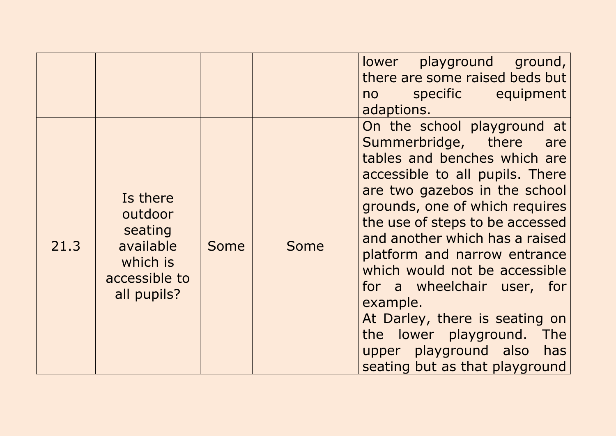|      |                                                                                         |             |      | lower playground ground,<br>there are some raised beds but<br>specific equipment<br>no no<br>adaptions.                                                                                                                                                                                                                                                                                                                                                                                                          |
|------|-----------------------------------------------------------------------------------------|-------------|------|------------------------------------------------------------------------------------------------------------------------------------------------------------------------------------------------------------------------------------------------------------------------------------------------------------------------------------------------------------------------------------------------------------------------------------------------------------------------------------------------------------------|
| 21.3 | Is there<br>outdoor<br>seating<br>available<br>which is<br>accessible to<br>all pupils? | <b>Some</b> | Some | On the school playground at<br>Summerbridge, there<br>are<br>tables and benches which are<br>accessible to all pupils. There<br>are two gazebos in the school<br>grounds, one of which requires<br>the use of steps to be accessed<br>and another which has a raised<br>platform and narrow entrance<br>which would not be accessible<br>for a wheelchair user, for<br>example.<br>At Darley, there is seating on<br>the lower playground. The<br>upper playground also<br>has<br>seating but as that playground |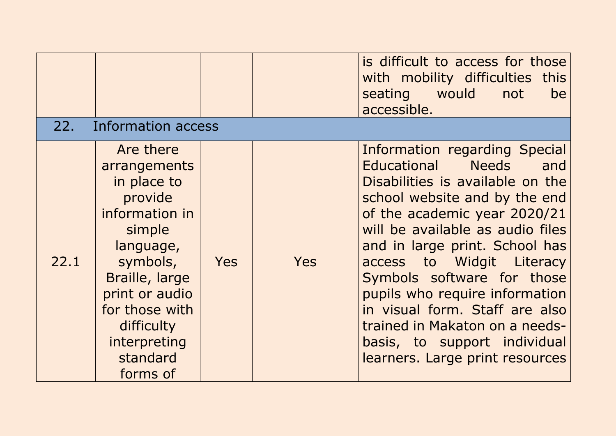|      |                                                                                                                                                                                                                      |            |     | is difficult to access for those<br>with mobility difficulties this<br>seating would<br>not<br>be<br>accessible.                                                                                                                                                                                                                                                                                                                                                      |
|------|----------------------------------------------------------------------------------------------------------------------------------------------------------------------------------------------------------------------|------------|-----|-----------------------------------------------------------------------------------------------------------------------------------------------------------------------------------------------------------------------------------------------------------------------------------------------------------------------------------------------------------------------------------------------------------------------------------------------------------------------|
| 22.  | Information access                                                                                                                                                                                                   |            |     |                                                                                                                                                                                                                                                                                                                                                                                                                                                                       |
| 22.1 | Are there<br>arrangements<br>in place to<br>provide<br>information in<br>simple<br>language,<br>symbols,<br>Braille, large<br>print or audio<br>for those with<br>difficulty<br>interpreting<br>standard<br>forms of | <b>Yes</b> | Yes | Information regarding Special<br>Educational Needs and<br>Disabilities is available on the<br>school website and by the end<br>of the academic year 2020/21<br>will be available as audio files<br>and in large print. School has<br>access to Widgit Literacy<br>Symbols software for those<br>pupils who require information<br>in visual form. Staff are also<br>trained in Makaton on a needs-<br>basis, to support individual<br>learners. Large print resources |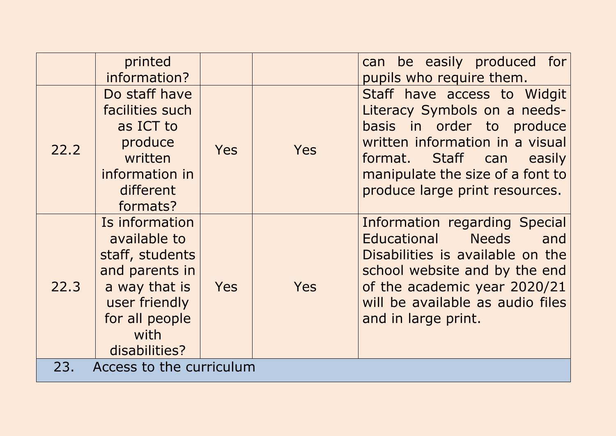|                                 | printed<br>information?                                                                                                                          |            |            | can be easily produced for<br>pupils who require them.                                                                                                                                                                                     |
|---------------------------------|--------------------------------------------------------------------------------------------------------------------------------------------------|------------|------------|--------------------------------------------------------------------------------------------------------------------------------------------------------------------------------------------------------------------------------------------|
| 22.2                            | Do staff have<br>facilities such<br>as ICT to<br>produce<br>written<br>information in<br>different<br>formats?                                   | <b>Yes</b> | <b>Yes</b> | Staff have access to Widgit<br>Literacy Symbols on a needs-<br>basis in order to produce<br>written information in a visual<br>Staff can easily<br>format.<br>manipulate the size of a font to<br>produce large print resources.           |
| 22.3                            | Is information<br>available to<br>staff, students<br>and parents in<br>a way that is<br>user friendly<br>for all people<br>with<br>disabilities? | <b>Yes</b> | <b>Yes</b> | Information regarding Special<br><b>Needs</b><br><b>Educational</b><br>and<br>Disabilities is available on the<br>school website and by the end<br>of the academic year 2020/21<br>will be available as audio files<br>and in large print. |
| 23.<br>Access to the curriculum |                                                                                                                                                  |            |            |                                                                                                                                                                                                                                            |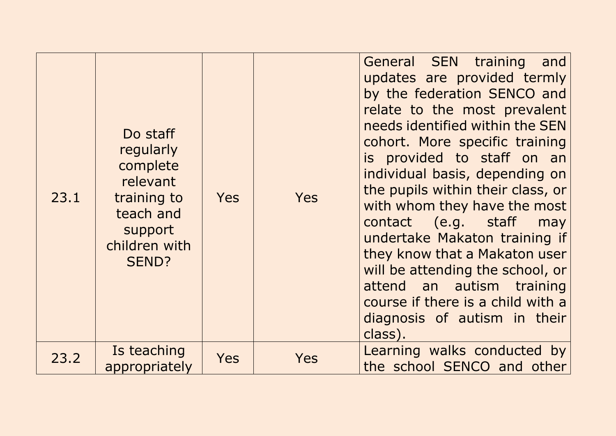| 23.1 | Do staff<br>regularly<br>complete<br>relevant<br>training to<br>teach and<br>support<br>children with<br>SEND? | <b>Yes</b> | <b>Yes</b> | General SEN training<br>and<br>updates are provided termly<br>by the federation SENCO and<br>relate to the most prevalent<br>needs identified within the SEN<br>cohort. More specific training<br>is provided to staff on an<br>individual basis, depending on<br>the pupils within their class, or<br>with whom they have the most<br>contact (e.g. staff<br>may<br>undertake Makaton training if<br>they know that a Makaton user<br>will be attending the school, or<br>attend an autism training<br>course if there is a child with a<br>diagnosis of autism in their<br>class). |
|------|----------------------------------------------------------------------------------------------------------------|------------|------------|--------------------------------------------------------------------------------------------------------------------------------------------------------------------------------------------------------------------------------------------------------------------------------------------------------------------------------------------------------------------------------------------------------------------------------------------------------------------------------------------------------------------------------------------------------------------------------------|
| 23.2 | Is teaching<br>appropriately                                                                                   | <b>Yes</b> | Yes        | Learning walks conducted by<br>the school SENCO and other                                                                                                                                                                                                                                                                                                                                                                                                                                                                                                                            |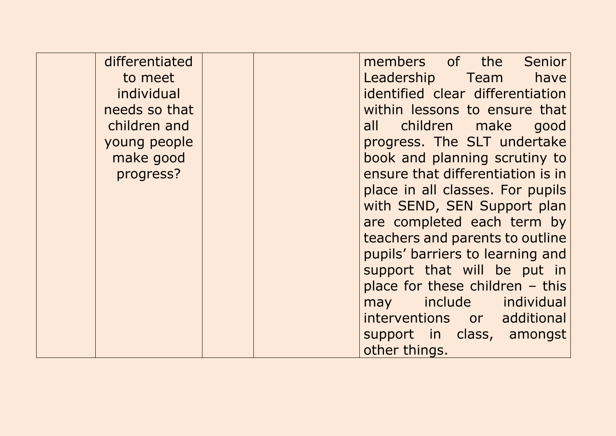| differentiated |  | members of the<br>Senior          |
|----------------|--|-----------------------------------|
| to meet        |  | Leadership Team have              |
| individual     |  | identified clear differentiation  |
| needs so that  |  | within lessons to ensure that     |
| children and   |  | all children make<br>good         |
| young people   |  | progress. The SLT undertake       |
| make good      |  | book and planning scrutiny to     |
| progress?      |  | ensure that differentiation is in |
|                |  | place in all classes. For pupils  |
|                |  | with SEND, SEN Support plan       |
|                |  | are completed each term by        |
|                |  | teachers and parents to outline   |
|                |  | pupils' barriers to learning and  |
|                |  | support that will be put in       |
|                |  | place for these children $-$ this |
|                |  | may include individual            |
|                |  | interventions or additional       |
|                |  | support in class, amongst         |
|                |  | other things.                     |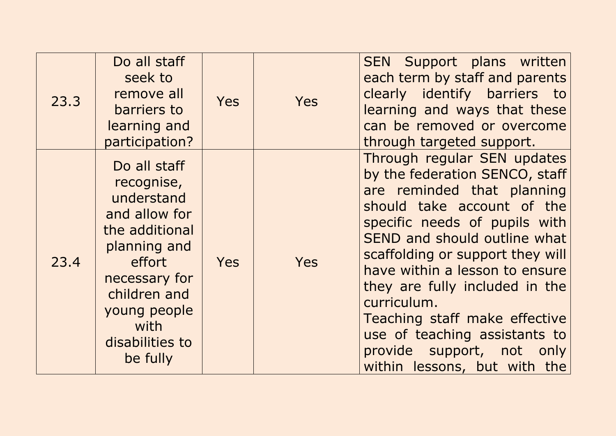| 23.3 | Do all staff<br>seek to<br>remove all<br>barriers to<br>learning and<br>participation?                                                                                                        | <b>Yes</b> | <b>Yes</b> | SEN Support plans written<br>each term by staff and parents<br>clearly identify barriers to<br>learning and ways that these<br>can be removed or overcome<br>through targeted support.                                                                                                                                                                                                                                                           |
|------|-----------------------------------------------------------------------------------------------------------------------------------------------------------------------------------------------|------------|------------|--------------------------------------------------------------------------------------------------------------------------------------------------------------------------------------------------------------------------------------------------------------------------------------------------------------------------------------------------------------------------------------------------------------------------------------------------|
| 23.4 | Do all staff<br>recognise,<br>understand<br>and allow for<br>the additional<br>planning and<br>effort<br>necessary for<br>children and<br>young people<br>with<br>disabilities to<br>be fully | <b>Yes</b> | Yes        | Through regular SEN updates<br>by the federation SENCO, staff<br>are reminded that planning<br>should take account of the<br>specific needs of pupils with<br>SEND and should outline what<br>scaffolding or support they will<br>have within a lesson to ensure<br>they are fully included in the<br>curriculum.<br>Teaching staff make effective<br>use of teaching assistants to<br>provide support, not only<br>within lessons, but with the |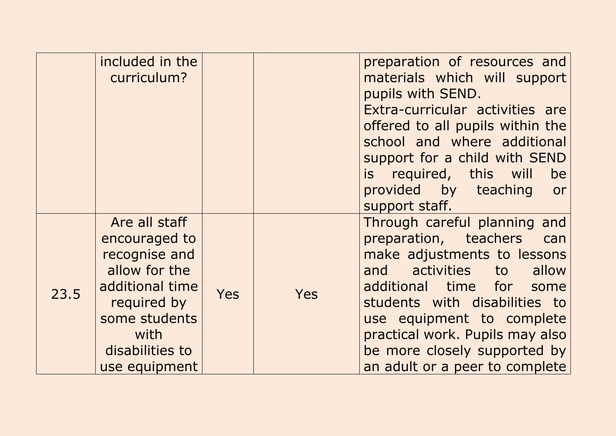|      | included in the<br>curriculum?                                                                                                                                  |            |     | preparation of resources and<br>materials which will support<br>pupils with SEND.<br>Extra-curricular activities are<br>offered to all pupils within the<br>school and where additional<br>support for a child with SEND<br>is required, this will<br>be<br>provided by teaching<br>or<br>support staff.                 |
|------|-----------------------------------------------------------------------------------------------------------------------------------------------------------------|------------|-----|--------------------------------------------------------------------------------------------------------------------------------------------------------------------------------------------------------------------------------------------------------------------------------------------------------------------------|
| 23.5 | Are all staff<br>encouraged to<br>recognise and<br>allow for the<br>additional time<br>required by<br>some students<br>with<br>disabilities to<br>use equipment | <b>Yes</b> | Yes | Through careful planning and<br>preparation, teachers can<br>make adjustments to lessons<br>and activities to<br>allow<br>additional time for<br>some<br>students with disabilities to<br>use equipment to complete<br>practical work. Pupils may also<br>be more closely supported by<br>an adult or a peer to complete |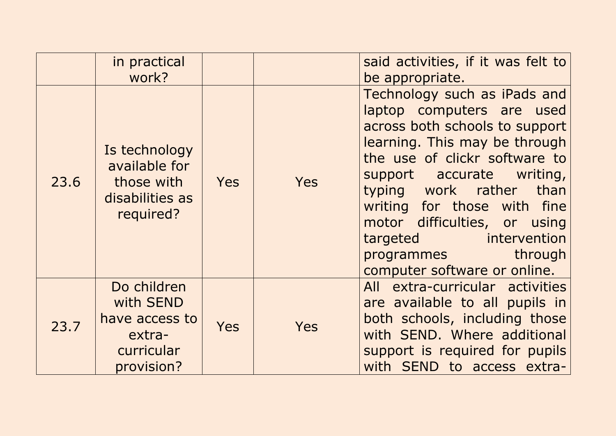|      | in practical<br>work?                                                            |     |     | said activities, if it was felt to<br>be appropriate.                                                                                                                                                                                                                                                                                                                  |
|------|----------------------------------------------------------------------------------|-----|-----|------------------------------------------------------------------------------------------------------------------------------------------------------------------------------------------------------------------------------------------------------------------------------------------------------------------------------------------------------------------------|
| 23.6 | Is technology<br>available for<br>those with<br>disabilities as<br>required?     | Yes | Yes | Technology such as iPads and<br>laptop computers are used<br>across both schools to support<br>learning. This may be through<br>the use of clickr software to<br>support accurate writing,<br>typing work rather<br>than<br>writing for those with fine<br>motor difficulties, or using<br>targeted intervention<br>programmes through<br>computer software or online. |
| 23.7 | Do children<br>with SEND<br>have access to<br>extra-<br>curricular<br>provision? | Yes | Yes | All extra-curricular activities<br>are available to all pupils in<br>both schools, including those<br>with SEND. Where additional<br>support is required for pupils<br>with SEND to access extra-                                                                                                                                                                      |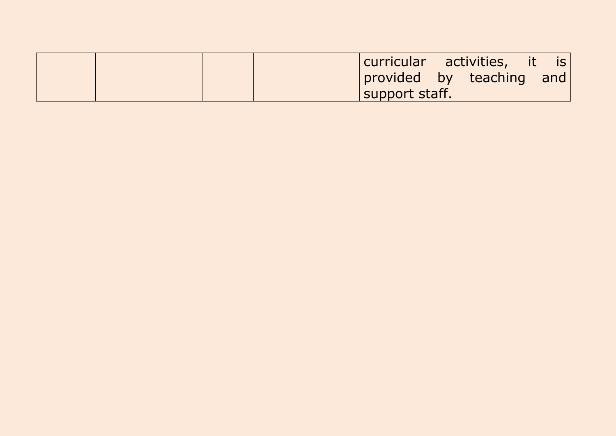|  |  | curricular activities, it is |  |  |
|--|--|------------------------------|--|--|
|  |  | provided by teaching and     |  |  |
|  |  | support staff.               |  |  |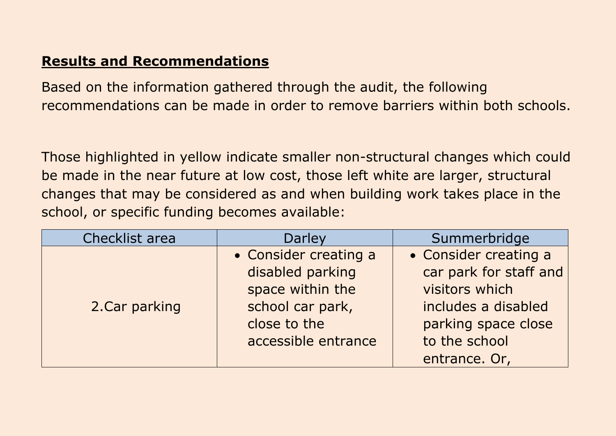### **Results and Recommendations**

Based on the information gathered through the audit, the following recommendations can be made in order to remove barriers within both schools.

Those highlighted in yellow indicate smaller non-structural changes which could be made in the near future at low cost, those left white are larger, structural changes that may be considered as and when building work takes place in the school, or specific funding becomes available:

| Checklist area | Darley                | Summerbridge           |
|----------------|-----------------------|------------------------|
|                | • Consider creating a | • Consider creating a  |
|                | disabled parking      | car park for staff and |
|                | space within the      | visitors which         |
| 2. Car parking | school car park,      | includes a disabled    |
|                | close to the          | parking space close    |
|                | accessible entrance   | to the school          |
|                |                       | entrance. Or,          |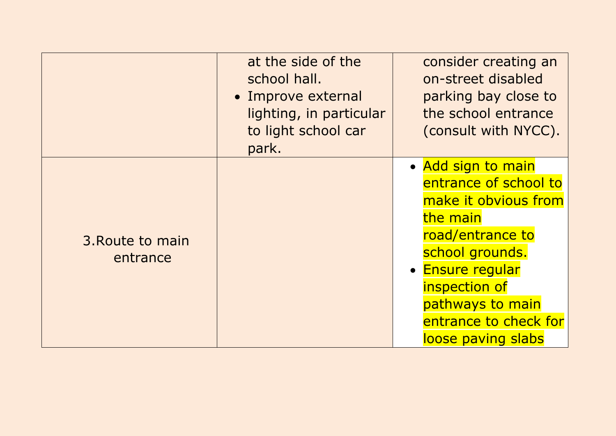|                              | at the side of the<br>school hall.<br>• Improve external<br>lighting, in particular<br>to light school car<br>park. | consider creating an<br>on-street disabled<br>parking bay close to<br>the school entrance<br>(consult with NYCC).                                                                                                              |
|------------------------------|---------------------------------------------------------------------------------------------------------------------|--------------------------------------------------------------------------------------------------------------------------------------------------------------------------------------------------------------------------------|
| 3. Route to main<br>entrance |                                                                                                                     | • Add sign to main<br>entrance of school to<br>make it obvious from<br>the main<br>road/entrance to<br>school grounds.<br>• Ensure regular<br>inspection of<br>pathways to main<br>entrance to check for<br>loose paving slabs |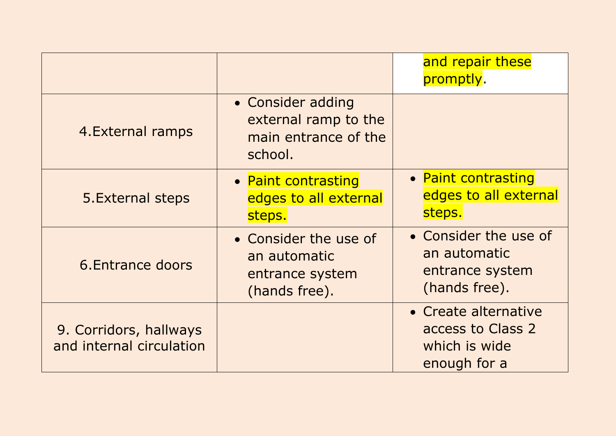|                                                    |                                                                              | and repair these<br>promptly.                                              |
|----------------------------------------------------|------------------------------------------------------------------------------|----------------------------------------------------------------------------|
| 4. External ramps                                  | • Consider adding<br>external ramp to the<br>main entrance of the<br>school. |                                                                            |
| 5. External steps                                  | • Paint contrasting<br>edges to all external<br>steps.                       | • Paint contrasting<br>edges to all external<br>steps.                     |
| 6. Entrance doors                                  | • Consider the use of<br>an automatic<br>entrance system<br>(hands free).    | • Consider the use of<br>an automatic<br>entrance system<br>(hands free).  |
| 9. Corridors, hallways<br>and internal circulation |                                                                              | • Create alternative<br>access to Class 2<br>which is wide<br>enough for a |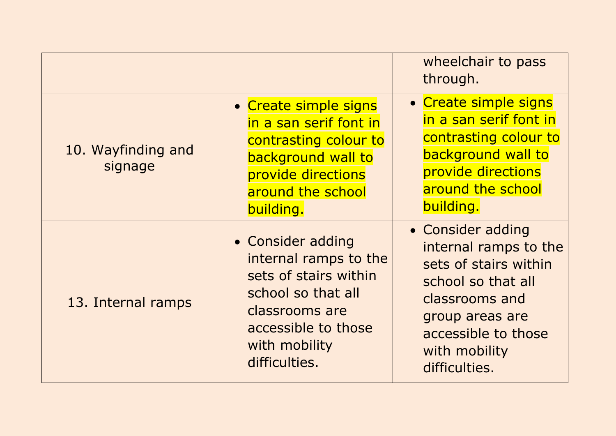|                               |                                                                                                                                                                      | wheelchair to pass<br>through.                                                                                                                                                          |
|-------------------------------|----------------------------------------------------------------------------------------------------------------------------------------------------------------------|-----------------------------------------------------------------------------------------------------------------------------------------------------------------------------------------|
| 10. Wayfinding and<br>signage | • Create simple signs<br>in a san serif font in<br>contrasting colour to<br>background wall to<br>provide directions<br>around the school<br>building.               | • Create simple signs<br>in a san serif font in<br>contrasting colour to<br>background wall to<br>provide directions<br>around the school<br>building.                                  |
| 13. Internal ramps            | • Consider adding<br>internal ramps to the<br>sets of stairs within<br>school so that all<br>classrooms are<br>accessible to those<br>with mobility<br>difficulties. | • Consider adding<br>internal ramps to the<br>sets of stairs within<br>school so that all<br>classrooms and<br>group areas are<br>accessible to those<br>with mobility<br>difficulties. |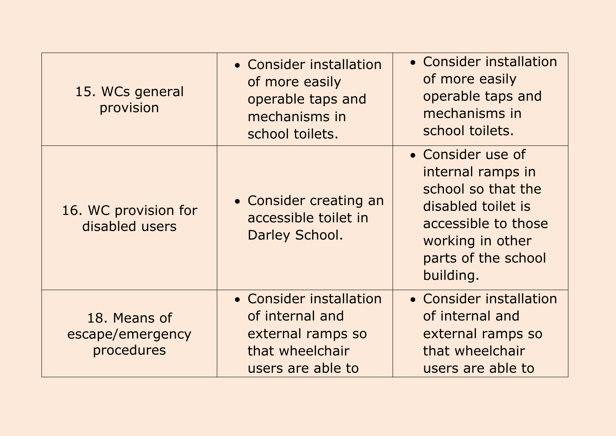| 15. WCs general<br>provision                   | • Consider installation<br>of more easily<br>operable taps and<br>mechanisms in<br>school toilets.      | • Consider installation<br>of more easily<br>operable taps and<br>mechanisms in<br>school toilets.                                                                |
|------------------------------------------------|---------------------------------------------------------------------------------------------------------|-------------------------------------------------------------------------------------------------------------------------------------------------------------------|
| 16. WC provision for<br>disabled users         | • Consider creating an<br>accessible toilet in<br>Darley School.                                        | • Consider use of<br>internal ramps in<br>school so that the<br>disabled toilet is<br>accessible to those<br>working in other<br>parts of the school<br>building. |
| 18. Means of<br>escape/emergency<br>procedures | • Consider installation<br>of internal and<br>external ramps so<br>that wheelchair<br>users are able to | • Consider installation<br>of internal and<br>external ramps so<br>that wheelchair<br>users are able to                                                           |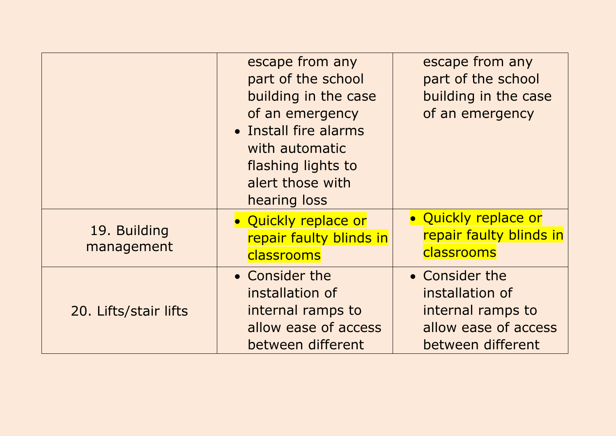|                            | escape from any<br>part of the school<br>building in the case<br>of an emergency<br>• Install fire alarms<br>with automatic<br>flashing lights to<br>alert those with<br>hearing loss | escape from any<br>part of the school<br>building in the case<br>of an emergency                    |
|----------------------------|---------------------------------------------------------------------------------------------------------------------------------------------------------------------------------------|-----------------------------------------------------------------------------------------------------|
| 19. Building<br>management | • Quickly replace or<br>repair faulty blinds in<br>classrooms                                                                                                                         | • Quickly replace or<br>repair faulty blinds in<br>classrooms                                       |
| 20. Lifts/stair lifts      | • Consider the<br>installation of<br>internal ramps to<br>allow ease of access<br>between different                                                                                   | • Consider the<br>installation of<br>internal ramps to<br>allow ease of access<br>between different |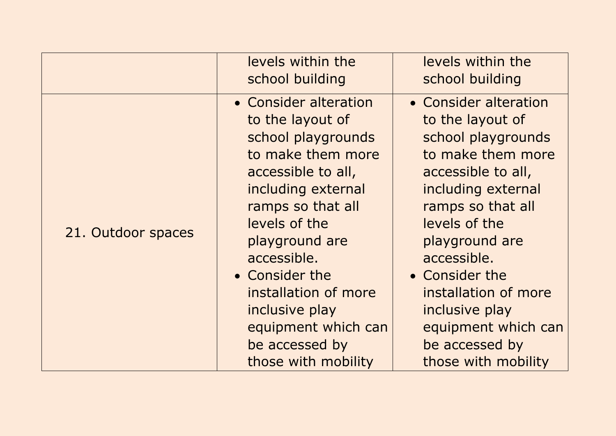|                    | levels within the<br>school building                                                                                                                                                                                                                                                                                                | levels within the<br>school building                                                                                                                                                                                                                                                                                                |
|--------------------|-------------------------------------------------------------------------------------------------------------------------------------------------------------------------------------------------------------------------------------------------------------------------------------------------------------------------------------|-------------------------------------------------------------------------------------------------------------------------------------------------------------------------------------------------------------------------------------------------------------------------------------------------------------------------------------|
| 21. Outdoor spaces | • Consider alteration<br>to the layout of<br>school playgrounds<br>to make them more<br>accessible to all,<br>including external<br>ramps so that all<br>levels of the<br>playground are<br>accessible.<br>• Consider the<br>installation of more<br>inclusive play<br>equipment which can<br>be accessed by<br>those with mobility | • Consider alteration<br>to the layout of<br>school playgrounds<br>to make them more<br>accessible to all,<br>including external<br>ramps so that all<br>levels of the<br>playground are<br>accessible.<br>• Consider the<br>installation of more<br>inclusive play<br>equipment which can<br>be accessed by<br>those with mobility |